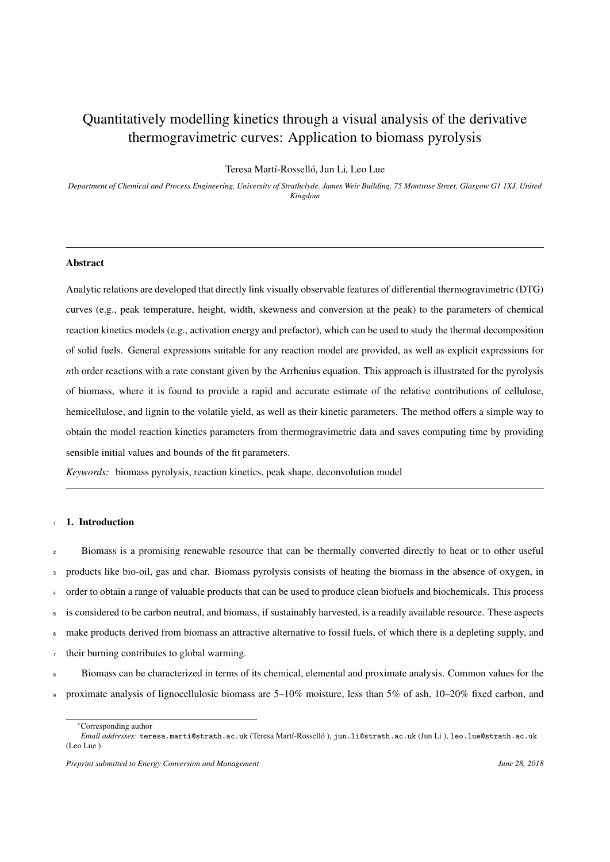# Quantitatively modelling kinetics through a visual analysis of the derivative thermogravimetric curves: Application to biomass pyrolysis

## Teresa Martí-Rosselló, Jun Li, Leo Lue

*Department of Chemical and Process Engineering, University of Strathclyde, James Weir Building, 75 Montrose Street, Glasgow G1 1XJ, United Kingdom*

## Abstract

Analytic relations are developed that directly link visually observable features of differential thermogravimetric (DTG) curves (e.g., peak temperature, height, width, skewness and conversion at the peak) to the parameters of chemical reaction kinetics models (e.g., activation energy and prefactor), which can be used to study the thermal decomposition of solid fuels. General expressions suitable for any reaction model are provided, as well as explicit expressions for *n*th order reactions with a rate constant given by the Arrhenius equation. This approach is illustrated for the pyrolysis of biomass, where it is found to provide a rapid and accurate estimate of the relative contributions of cellulose, hemicellulose, and lignin to the volatile yield, as well as their kinetic parameters. The method offers a simple way to obtain the model reaction kinetics parameters from thermogravimetric data and saves computing time by providing sensible initial values and bounds of the fit parameters.

*Keywords:* biomass pyrolysis, reaction kinetics, peak shape, deconvolution model

## 1. Introduction

 Biomass is a promising renewable resource that can be thermally converted directly to heat or to other useful products like bio-oil, gas and char. Biomass pyrolysis consists of heating the biomass in the absence of oxygen, in order to obtain a range of valuable products that can be used to produce clean biofuels and biochemicals. This process is considered to be carbon neutral, and biomass, if sustainably harvested, is a readily available resource. These aspects make products derived from biomass an attractive alternative to fossil fuels, of which there is a depleting supply, and their burning contributes to global warming.

<sup>8</sup> Biomass can be characterized in terms of its chemical, elemental and proximate analysis. Common values for the 9 proximate analysis of lignocellulosic biomass are  $5-10\%$  moisture, less than 5% of ash,  $10-20\%$  fixed carbon, and

<sup>∗</sup>Corresponding author

*Email addresses:* teresa.marti@strath.ac.uk (Teresa Mart´ı-Rossello ), ´ jun.li@strath.ac.uk (Jun Li ), leo.lue@strath.ac.uk (Leo Lue )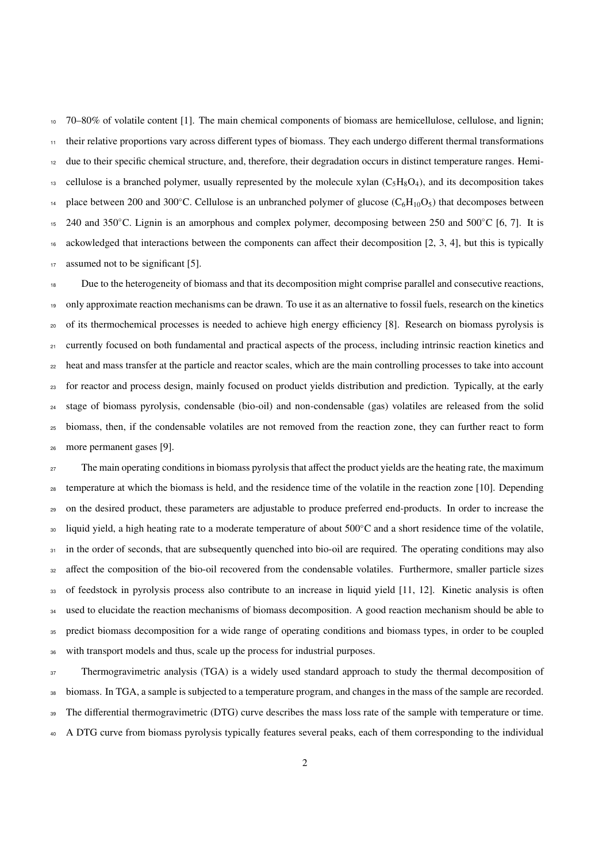<sup>10</sup> 70–80% of volatile content [1]. The main chemical components of biomass are hemicellulose, cellulose, and lignin; <sup>11</sup> their relative proportions vary across different types of biomass. They each undergo different thermal transformations <sup>12</sup> due to their specific chemical structure, and, therefore, their degradation occurs in distinct temperature ranges. Hemi-<sup>13</sup> cellulose is a branched polymer, usually represented by the molecule xylan  $(C_5H_8O_4)$ , and its decomposition takes place between 200 and 300°C. Cellulose is an unbranched polymer of glucose  $(C_6H_{10}O_5)$  that decomposes between <sup>15</sup> 240 and 350℃. Lignin is an amorphous and complex polymer, decomposing between 250 and 500℃ [6, 7]. It is <sup>16</sup> ackowledged that interactions between the components can affect their decomposition [2, 3, 4], but this is typically 17 assumed not to be significant [5].

<sup>18</sup> Due to the heterogeneity of biomass and that its decomposition might comprise parallel and consecutive reactions, only approximate reaction mechanisms can be drawn. To use it as an alternative to fossil fuels, research on the kinetics of its thermochemical processes is needed to achieve high energy efficiency [8]. Research on biomass pyrolysis is  $_{21}$  currently focused on both fundamental and practical aspects of the process, including intrinsic reaction kinetics and <sub>22</sub> heat and mass transfer at the particle and reactor scales, which are the main controlling processes to take into account for reactor and process design, mainly focused on product yields distribution and prediction. Typically, at the early stage of biomass pyrolysis, condensable (bio-oil) and non-condensable (gas) volatiles are released from the solid biomass, then, if the condensable volatiles are not removed from the reaction zone, they can further react to form more permanent gases [9].

<sub>27</sub> The main operating conditions in biomass pyrolysis that affect the product yields are the heating rate, the maximum <sub>28</sub> temperature at which the biomass is held, and the residence time of the volatile in the reaction zone [10]. Depending <sup>29</sup> on the desired product, these parameters are adjustable to produce preferred end-products. In order to increase the <sup>30</sup> liquid yield, a high heating rate to a moderate temperature of about 500℃ and a short residence time of the volatile, <sup>31</sup> in the order of seconds, that are subsequently quenched into bio-oil are required. The operating conditions may also <sup>32</sup> affect the composition of the bio-oil recovered from the condensable volatiles. Furthermore, smaller particle sizes 33 of feedstock in pyrolysis process also contribute to an increase in liquid yield [11, 12]. Kinetic analysis is often <sup>34</sup> used to elucidate the reaction mechanisms of biomass decomposition. A good reaction mechanism should be able to <sup>35</sup> predict biomass decomposition for a wide range of operating conditions and biomass types, in order to be coupled 36 with transport models and thus, scale up the process for industrial purposes.

 Thermogravimetric analysis (TGA) is a widely used standard approach to study the thermal decomposition of biomass. In TGA, a sample is subjected to a temperature program, and changes in the mass of the sample are recorded. <sup>39</sup> The differential thermogravimetric (DTG) curve describes the mass loss rate of the sample with temperature or time. A DTG curve from biomass pyrolysis typically features several peaks, each of them corresponding to the individual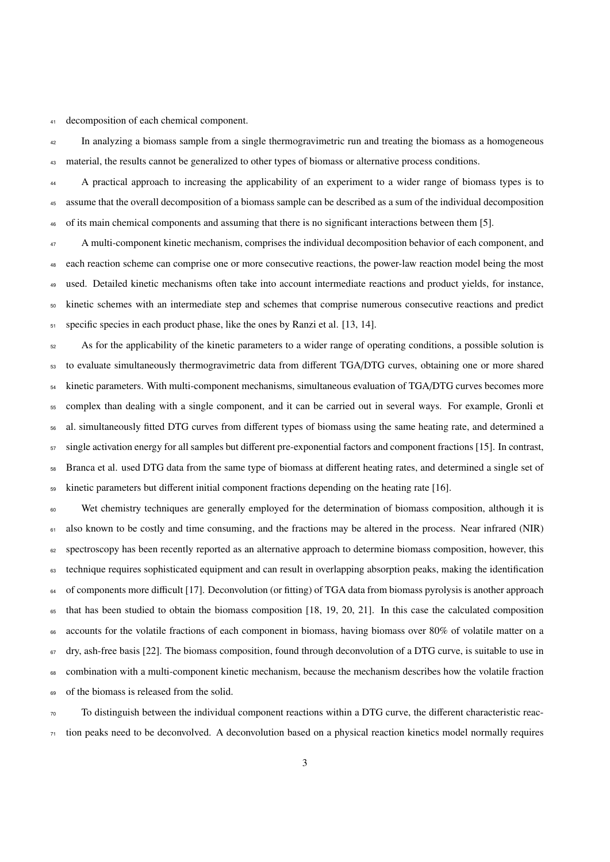41 decomposition of each chemical component.

<sup>42</sup> In analyzing a biomass sample from a single thermogravimetric run and treating the biomass as a homogeneous 43 material, the results cannot be generalized to other types of biomass or alternative process conditions.

 A practical approach to increasing the applicability of an experiment to a wider range of biomass types is to assume that the overall decomposition of a biomass sample can be described as a sum of the individual decomposition of its main chemical components and assuming that there is no significant interactions between them [5].

<sup>47</sup> A multi-component kinetic mechanism, comprises the individual decomposition behavior of each component, and each reaction scheme can comprise one or more consecutive reactions, the power-law reaction model being the most used. Detailed kinetic mechanisms often take into account intermediate reactions and product yields, for instance, kinetic schemes with an intermediate step and schemes that comprise numerous consecutive reactions and predict specific species in each product phase, like the ones by Ranzi et al. [13, 14].

 As for the applicability of the kinetic parameters to a wider range of operating conditions, a possible solution is to evaluate simultaneously thermogravimetric data from different TGA/DTG curves, obtaining one or more shared <sub>54</sub> kinetic parameters. With multi-component mechanisms, simultaneous evaluation of TGA/DTG curves becomes more complex than dealing with a single component, and it can be carried out in several ways. For example, Gronli et al. simultaneously fitted DTG curves from different types of biomass using the same heating rate, and determined a single activation energy for all samples but different pre-exponential factors and component fractions [15]. In contrast, Branca et al. used DTG data from the same type of biomass at different heating rates, and determined a single set of kinetic parameters but different initial component fractions depending on the heating rate [16].

 Wet chemistry techniques are generally employed for the determination of biomass composition, although it is 61 also known to be costly and time consuming, and the fractions may be altered in the process. Near infrared (NIR) spectroscopy has been recently reported as an alternative approach to determine biomass composition, however, this <sup>63</sup> technique requires sophisticated equipment and can result in overlapping absorption peaks, making the identification of components more difficult [17]. Deconvolution (or fitting) of TGA data from biomass pyrolysis is another approach that has been studied to obtain the biomass composition [18, 19, 20, 21]. In this case the calculated composition accounts for the volatile fractions of each component in biomass, having biomass over 80% of volatile matter on a 67 dry, ash-free basis [22]. The biomass composition, found through deconvolution of a DTG curve, is suitable to use in combination with a multi-component kinetic mechanism, because the mechanism describes how the volatile fraction <sup>69</sup> of the biomass is released from the solid.

 $\tau_0$  To distinguish between the individual component reactions within a DTG curve, the different characteristic reac-tion peaks need to be deconvolved. A deconvolution based on a physical reaction kinetics model normally requires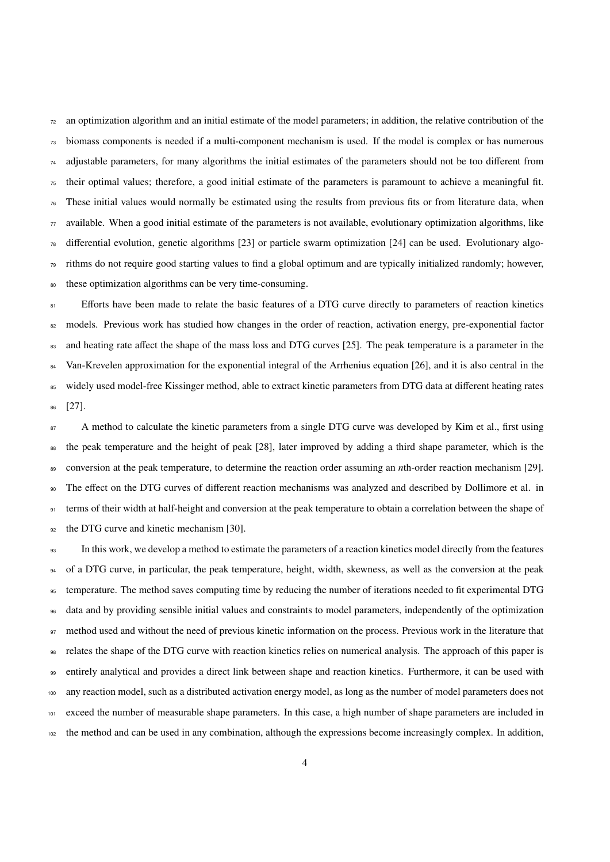an optimization algorithm and an initial estimate of the model parameters; in addition, the relative contribution of the biomass components is needed if a multi-component mechanism is used. If the model is complex or has numerous <sup>74</sup> adjustable parameters, for many algorithms the initial estimates of the parameters should not be too different from their optimal values; therefore, a good initial estimate of the parameters is paramount to achieve a meaningful fit. These initial values would normally be estimated using the results from previous fits or from literature data, when  $\pi$  available. When a good initial estimate of the parameters is not available, evolutionary optimization algorithms, like differential evolution, genetic algorithms [23] or particle swarm optimization [24] can be used. Evolutionary algo- rithms do not require good starting values to find a global optimum and are typically initialized randomly; however, these optimization algorithms can be very time-consuming.

<sup>81</sup> Efforts have been made to relate the basic features of a DTG curve directly to parameters of reaction kinetics <sup>82</sup> models. Previous work has studied how changes in the order of reaction, activation energy, pre-exponential factor <sup>83</sup> and heating rate affect the shape of the mass loss and DTG curves [25]. The peak temperature is a parameter in the Van-Krevelen approximation for the exponential integral of the Arrhenius equation [26], and it is also central in the <sup>85</sup> widely used model-free Kissinger method, able to extract kinetic parameters from DTG data at different heating rates [27].

87 A method to calculate the kinetic parameters from a single DTG curve was developed by Kim et al., first using the peak temperature and the height of peak [28], later improved by adding a third shape parameter, which is the conversion at the peak temperature, to determine the reaction order assuming an *n*th-order reaction mechanism [29]. The effect on the DTG curves of different reaction mechanisms was analyzed and described by Dollimore et al. in <sup>91</sup> terms of their width at half-height and conversion at the peak temperature to obtain a correlation between the shape of 92 the DTG curve and kinetic mechanism [30].

<sup>93</sup> In this work, we develop a method to estimate the parameters of a reaction kinetics model directly from the features 94 of a DTG curve, in particular, the peak temperature, height, width, skewness, as well as the conversion at the peak temperature. The method saves computing time by reducing the number of iterations needed to fit experimental DTG data and by providing sensible initial values and constraints to model parameters, independently of the optimization method used and without the need of previous kinetic information on the process. Previous work in the literature that relates the shape of the DTG curve with reaction kinetics relies on numerical analysis. The approach of this paper is entirely analytical and provides a direct link between shape and reaction kinetics. Furthermore, it can be used with any reaction model, such as a distributed activation energy model, as long as the number of model parameters does not exceed the number of measurable shape parameters. In this case, a high number of shape parameters are included in the method and can be used in any combination, although the expressions become increasingly complex. In addition,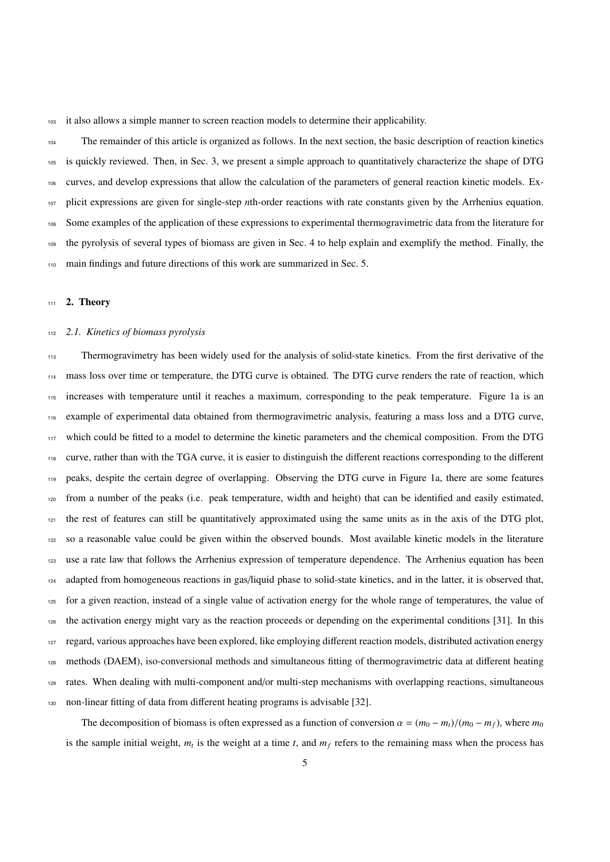it also allows a simple manner to screen reaction models to determine their applicability.

 The remainder of this article is organized as follows. In the next section, the basic description of reaction kinetics is quickly reviewed. Then, in Sec. 3, we present a simple approach to quantitatively characterize the shape of DTG curves, and develop expressions that allow the calculation of the parameters of general reaction kinetic models. Ex- plicit expressions are given for single-step *n*th-order reactions with rate constants given by the Arrhenius equation. Some examples of the application of these expressions to experimental thermogravimetric data from the literature for the pyrolysis of several types of biomass are given in Sec. 4 to help explain and exemplify the method. Finally, the main findings and future directions of this work are summarized in Sec. 5.

## **2. Theory**

## *2.1. Kinetics of biomass pyrolysis*

 Thermogravimetry has been widely used for the analysis of solid-state kinetics. From the first derivative of the mass loss over time or temperature, the DTG curve is obtained. The DTG curve renders the rate of reaction, which increases with temperature until it reaches a maximum, corresponding to the peak temperature. Figure 1a is an example of experimental data obtained from thermogravimetric analysis, featuring a mass loss and a DTG curve, which could be fitted to a model to determine the kinetic parameters and the chemical composition. From the DTG curve, rather than with the TGA curve, it is easier to distinguish the different reactions corresponding to the different peaks, despite the certain degree of overlapping. Observing the DTG curve in Figure 1a, there are some features from a number of the peaks (i.e. peak temperature, width and height) that can be identified and easily estimated, <sup>121</sup> the rest of features can still be quantitatively approximated using the same units as in the axis of the DTG plot, so a reasonable value could be given within the observed bounds. Most available kinetic models in the literature use a rate law that follows the Arrhenius expression of temperature dependence. The Arrhenius equation has been adapted from homogeneous reactions in gas/liquid phase to solid-state kinetics, and in the latter, it is observed that, for a given reaction, instead of a single value of activation energy for the whole range of temperatures, the value of the activation energy might vary as the reaction proceeds or depending on the experimental conditions [31]. In this regard, various approaches have been explored, like employing different reaction models, distributed activation energy methods (DAEM), iso-conversional methods and simultaneous fitting of thermogravimetric data at different heating rates. When dealing with multi-component and/or multi-step mechanisms with overlapping reactions, simultaneous non-linear fitting of data from different heating programs is advisable [32].

The decomposition of biomass is often expressed as a function of conversion  $\alpha = (m_0 - m_t)/(m_0 - m_f)$ , where  $m_0$ is the sample initial weight,  $m_t$  is the weight at a time  $t$ , and  $m_f$  refers to the remaining mass when the process has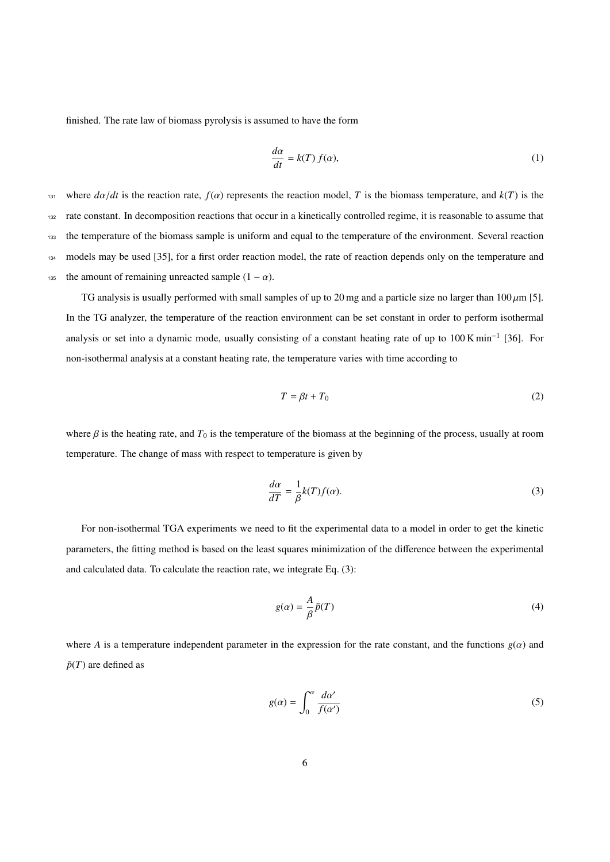finished. The rate law of biomass pyrolysis is assumed to have the form

$$
\frac{d\alpha}{dt} = k(T) f(\alpha),\tag{1}
$$

131 where  $d\alpha/dt$  is the reaction rate,  $f(\alpha)$  represents the reaction model, *T* is the biomass temperature, and  $k(T)$  is the <sup>132</sup> rate constant. In decomposition reactions that occur in a kinetically controlled regime, it is reasonable to assume that <sup>133</sup> the temperature of the biomass sample is uniform and equal to the temperature of the environment. Several reaction 134 models may be used [35], for a first order reaction model, the rate of reaction depends only on the temperature and 135 the amount of remaining unreacted sample  $(1 - \alpha)$ .

TG analysis is usually performed with small samples of up to 20 mg and a particle size no larger than  $100 \mu m$  [5]. In the TG analyzer, the temperature of the reaction environment can be set constant in order to perform isothermal analysis or set into a dynamic mode, usually consisting of a constant heating rate of up to 100 K min−<sup>1</sup> [36]. For non-isothermal analysis at a constant heating rate, the temperature varies with time according to

$$
T = \beta t + T_0 \tag{2}
$$

where  $\beta$  is the heating rate, and  $T_0$  is the temperature of the biomass at the beginning of the process, usually at room temperature. The change of mass with respect to temperature is given by

$$
\frac{d\alpha}{dT} = \frac{1}{\beta}k(T)f(\alpha). \tag{3}
$$

For non-isothermal TGA experiments we need to fit the experimental data to a model in order to get the kinetic parameters, the fitting method is based on the least squares minimization of the difference between the experimental and calculated data. To calculate the reaction rate, we integrate Eq. (3):

$$
g(\alpha) = \frac{A}{\beta} \bar{p}(T) \tag{4}
$$

where *A* is a temperature independent parameter in the expression for the rate constant, and the functions  $g(\alpha)$  and  $\bar{p}(T)$  are defined as

$$
g(\alpha) = \int_0^{\alpha} \frac{d\alpha'}{f(\alpha')}
$$
 (5)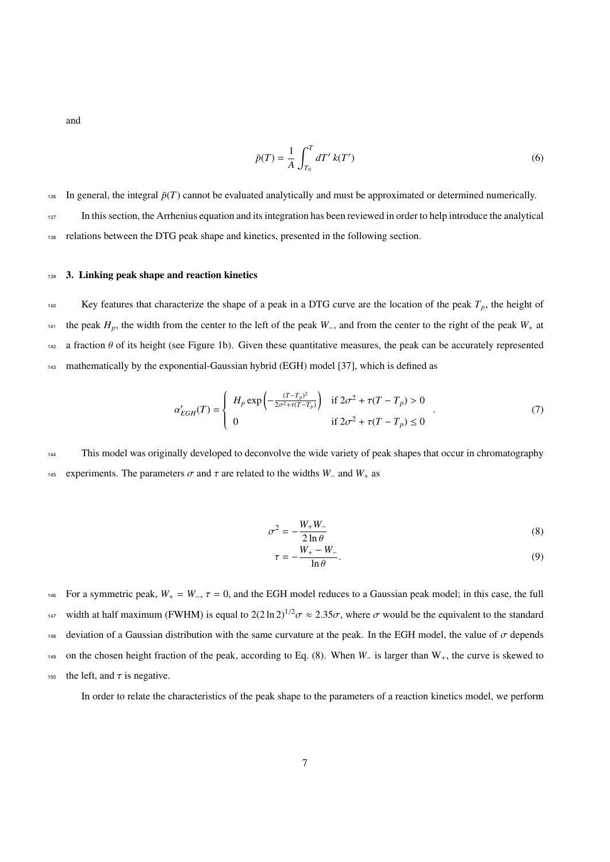and

$$
\bar{p}(T) = \frac{1}{A} \int_{T_0}^{T} dT' k(T') \tag{6}
$$

136 In general, the integral  $\bar{p}(T)$  cannot be evaluated analytically and must be approximated or determined numerically.

<sup>137</sup> In this section, the Arrhenius equation and its integration has been reviewed in order to help introduce the analytical <sup>138</sup> relations between the DTG peak shape and kinetics, presented in the following section.

#### <sup>139</sup> 3. Linking peak shape and reaction kinetics

140 Key features that characterize the shape of a peak in a DTG curve are the location of the peak  $T_p$ , the height of <sup>141</sup> the peak *Hp*, the width from the center to the left of the peak *W*−, and from the center to the right of the peak *W*<sup>+</sup> at 142 a fraction  $\theta$  of its height (see Figure 1b). Given these quantitative measures, the peak can be accurately represented <sup>143</sup> mathematically by the exponential-Gaussian hybrid (EGH) model [37], which is defined as

$$
\alpha'_{EGH}(T) = \begin{cases} H_p \exp\left(-\frac{(T-T_p)^2}{2\sigma^2 + \tau(T-T_p)}\right) & \text{if } 2\sigma^2 + \tau(T-T_p) > 0\\ 0 & \text{if } 2\sigma^2 + \tau(T-T_p) \le 0 \end{cases}
$$
(7)

<sup>144</sup> This model was originally developed to deconvolve the wide variety of peak shapes that occur in chromatography 145 experiments. The parameters  $\sigma$  and  $\tau$  are related to the widths *W*<sub>−</sub> and *W*<sub>+</sub> as

$$
\sigma^2 = -\frac{W_+ W_-}{2 \ln \theta} \tag{8}
$$

$$
\tau = -\frac{W_+ - W_-}{\ln \theta}.\tag{9}
$$

146 For a symmetric peak,  $W_+ = W_-, \tau = 0$ , and the EGH model reduces to a Gaussian peak model; in this case, the full width at half maximum (FWHM) is equal to  $2(2 \ln 2)^{1/2} \sigma \approx 2.35\sigma$ , where  $\sigma$  would be the equivalent to the standard 148 deviation of a Gaussian distribution with the same curvature at the peak. In the EGH model, the value of  $\sigma$  depends <sup>149</sup> on the chosen height fraction of the peak, according to Eq. (8). When *W*<sup>−</sup> is larger than W+, the curve is skewed to 150 the left, and  $\tau$  is negative.

In order to relate the characteristics of the peak shape to the parameters of a reaction kinetics model, we perform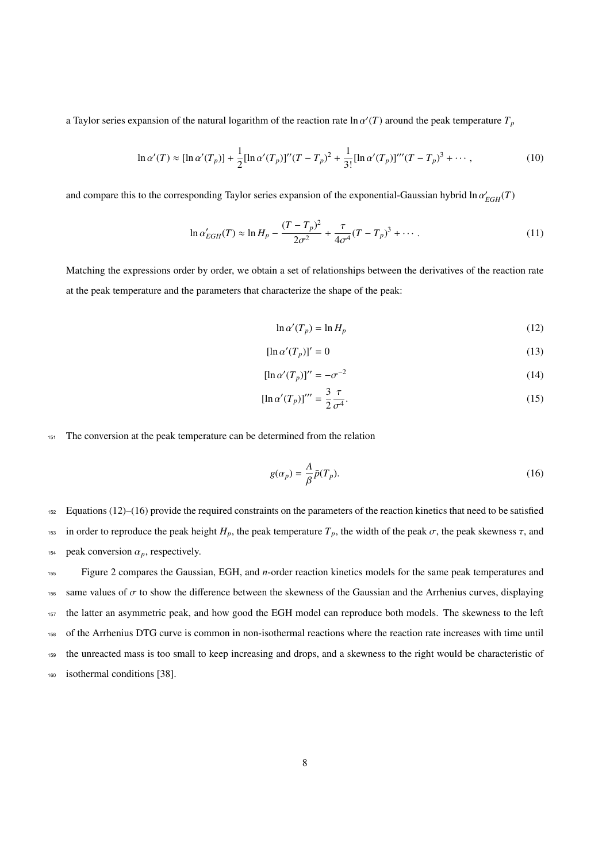a Taylor series expansion of the natural logarithm of the reaction rate  $\ln \alpha'(T)$  around the peak temperature  $T_p$ 

$$
\ln \alpha'(T) \approx [\ln \alpha'(T_p)] + \frac{1}{2} [\ln \alpha'(T_p)]''(T - T_p)^2 + \frac{1}{3!} [\ln \alpha'(T_p)]'''(T - T_p)^3 + \cdots,
$$
\n(10)

and compare this to the corresponding Taylor series expansion of the exponential-Gaussian hybrid  $\ln \alpha'_{EGH}(T)$ 

$$
\ln \alpha'_{EGH}(T) \approx \ln H_p - \frac{(T - T_p)^2}{2\sigma^2} + \frac{\tau}{4\sigma^4} (T - T_p)^3 + \cdots
$$
 (11)

Matching the expressions order by order, we obtain a set of relationships between the derivatives of the reaction rate at the peak temperature and the parameters that characterize the shape of the peak:

$$
\ln \alpha'(T_p) = \ln H_p \tag{12}
$$

$$
[\ln \alpha'(T_p)]' = 0 \tag{13}
$$

$$
[\ln \alpha'(T_p)]'' = -\sigma^{-2} \tag{14}
$$

$$
[\ln \alpha'(T_p)]''' = \frac{3}{2} \frac{\tau}{\sigma^4}.
$$
\n(15)

<sup>151</sup> The conversion at the peak temperature can be determined from the relation

$$
g(\alpha_p) = \frac{A}{\beta} \bar{p}(T_p). \tag{16}
$$

<sup>152</sup> Equations (12)–(16) provide the required constraints on the parameters of the reaction kinetics that need to be satisfied <sup>153</sup> in order to reproduce the peak height  $H_p$ , the peak temperature  $T_p$ , the width of the peak  $\sigma$ , the peak skewness  $\tau$ , and 154 peak conversion  $\alpha_p$ , respectively.

 Figure 2 compares the Gaussian, EGH, and *n*-order reaction kinetics models for the same peak temperatures and <sup>156</sup> same values of  $\sigma$  to show the difference between the skewness of the Gaussian and the Arrhenius curves, displaying the latter an asymmetric peak, and how good the EGH model can reproduce both models. The skewness to the left of the Arrhenius DTG curve is common in non-isothermal reactions where the reaction rate increases with time until the unreacted mass is too small to keep increasing and drops, and a skewness to the right would be characteristic of isothermal conditions [38].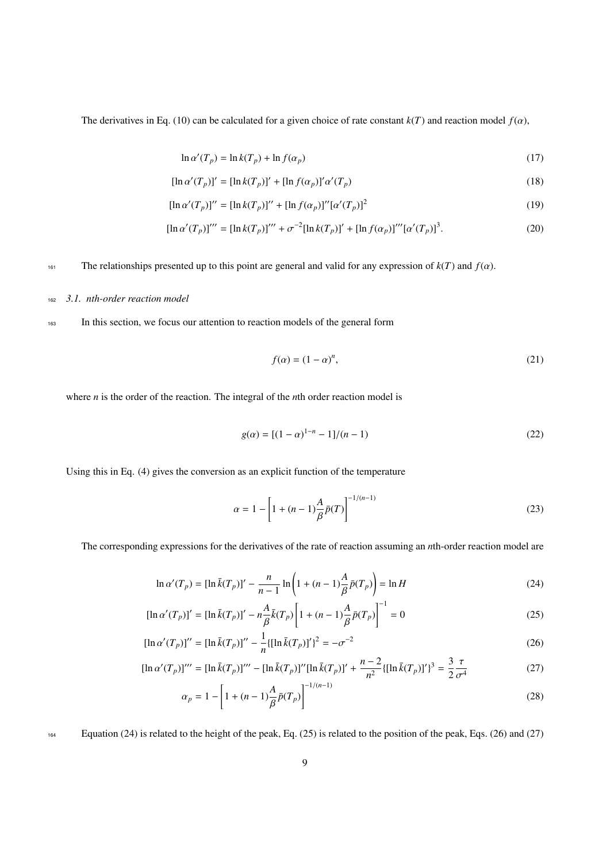The derivatives in Eq. (10) can be calculated for a given choice of rate constant  $k(T)$  and reaction model  $f(\alpha)$ ,

$$
\ln \alpha'(T_p) = \ln k(T_p) + \ln f(\alpha_p) \tag{17}
$$

$$
[\ln \alpha'(T_p)]' = [\ln k(T_p)]' + [\ln f(\alpha_p)]'\alpha'(T_p)
$$
\n(18)

$$
[\ln \alpha'(T_p)]'' = [\ln k(T_p)]'' + [\ln f(\alpha_p)]''[\alpha'(T_p)]^2
$$
\n(19)

$$
[\ln \alpha'(T_p)]''' = [\ln k(T_p)]''' + \sigma^{-2}[\ln k(T_p)]' + [\ln f(\alpha_p)]'''[\alpha'(T_p)]^3.
$$
 (20)

161 The relationships presented up to this point are general and valid for any expression of  $k(T)$  and  $f(\alpha)$ .

## <sup>162</sup> *3.1. nth-order reaction model*

<sup>163</sup> In this section, we focus our attention to reaction models of the general form

$$
f(\alpha) = (1 - \alpha)^n,\tag{21}
$$

where *n* is the order of the reaction. The integral of the *n*th order reaction model is

$$
g(\alpha) = [(1 - \alpha)^{1 - n} - 1]/(n - 1)
$$
\n(22)

Using this in Eq. (4) gives the conversion as an explicit function of the temperature

$$
\alpha = 1 - \left[1 + (n-1)\frac{A}{\beta}\bar{p}(T)\right]^{-1/(n-1)}
$$
\n(23)

The corresponding expressions for the derivatives of the rate of reaction assuming an *n*th-order reaction model are

$$
\ln \alpha'(T_p) = [\ln \bar{k}(T_p)]' - \frac{n}{n-1} \ln \left( 1 + (n-1)\frac{A}{\beta} \bar{p}(T_p) \right) = \ln H
$$
 (24)

$$
[\ln \alpha'(T_p)]' = [\ln \bar{k}(T_p)]' - n \frac{A}{\beta} \bar{k}(T_p) \left[ 1 + (n-1) \frac{A}{\beta} \bar{p}(T_p) \right]^{-1} = 0
$$
\n(25)

$$
[\ln \alpha'(T_p)]'' = [\ln \bar{k}(T_p)]'' - \frac{1}{n} \{[\ln \bar{k}(T_p)]'\}^2 = -\sigma^{-2}
$$
\n(26)

$$
[\ln \alpha'(T_p)]''' = [\ln \bar{k}(T_p)]''' - [\ln \bar{k}(T_p)]'' [\ln \bar{k}(T_p)]' + \frac{n-2}{n^2} \{[\ln \bar{k}(T_p)]'\}^3 = \frac{3}{2} \frac{\tau}{\sigma^4}
$$
(27)

$$
\alpha_p = 1 - \left[ 1 + (n-1) \frac{A}{\beta} \bar{p}(T_p) \right]^{-1/(n-1)}
$$
\n(28)

<sup>164</sup> Equation (24) is related to the height of the peak, Eq. (25) is related to the position of the peak, Eqs. (26) and (27)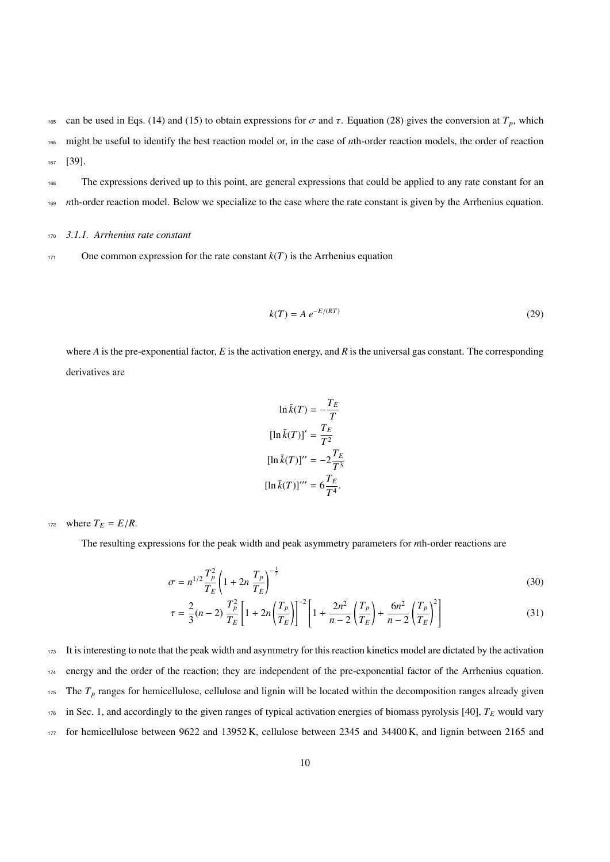<sup>165</sup> can be used in Eqs. (14) and (15) to obtain expressions for  $\sigma$  and  $\tau$ . Equation (28) gives the conversion at  $T_p$ , which 166 might be useful to identify the best reaction model or, in the case of *n*th-order reaction models, the order of reaction <sup>167</sup> [39].

<sup>168</sup> The expressions derived up to this point, are general expressions that could be applied to any rate constant for an <sup>169</sup> *n*th-order reaction model. Below we specialize to the case where the rate constant is given by the Arrhenius equation.

<sup>170</sup> *3.1.1. Arrhenius rate constant*

171 One common expression for the rate constant  $k(T)$  is the Arrhenius equation

$$
k(T) = A e^{-E/(RT)} \tag{29}
$$

where *A* is the pre-exponential factor, *E* is the activation energy, and *R* is the universal gas constant. The corresponding derivatives are

$$
\ln \bar{k}(T) = -\frac{T_E}{T}
$$

$$
[\ln \bar{k}(T)]' = \frac{T_E}{T^2}
$$

$$
[\ln \bar{k}(T)]'' = -2\frac{T_E}{T^3}
$$

$$
[\ln \bar{k}(T)]''' = 6\frac{T_E}{T^4}.
$$

172 where  $T_E = E/R$ .

The resulting expressions for the peak width and peak asymmetry parameters for *n*th-order reactions are

$$
\sigma = n^{1/2} \frac{T_p^2}{T_E} \left( 1 + 2n \frac{T_p}{T_E} \right)^{-\frac{1}{2}}
$$
\n(30)

$$
\tau = \frac{2}{3}(n-2)\frac{T_p^2}{T_E} \left[ 1 + 2n \left( \frac{T_p}{T_E} \right) \right]^{-2} \left[ 1 + \frac{2n^2}{n-2} \left( \frac{T_p}{T_E} \right) + \frac{6n^2}{n-2} \left( \frac{T_p}{T_E} \right)^2 \right] \tag{31}
$$

 It is interesting to note that the peak width and asymmetry for this reaction kinetics model are dictated by the activation energy and the order of the reaction; they are independent of the pre-exponential factor of the Arrhenius equation. The  $T_p$  ranges for hemicellulose, cellulose and lignin will be located within the decomposition ranges already given in Sec. 1, and accordingly to the given ranges of typical activation energies of biomass pyrolysis [40],  $T_E$  would vary for hemicellulose between 9622 and 13952 K, cellulose between 2345 and 34400 K, and lignin between 2165 and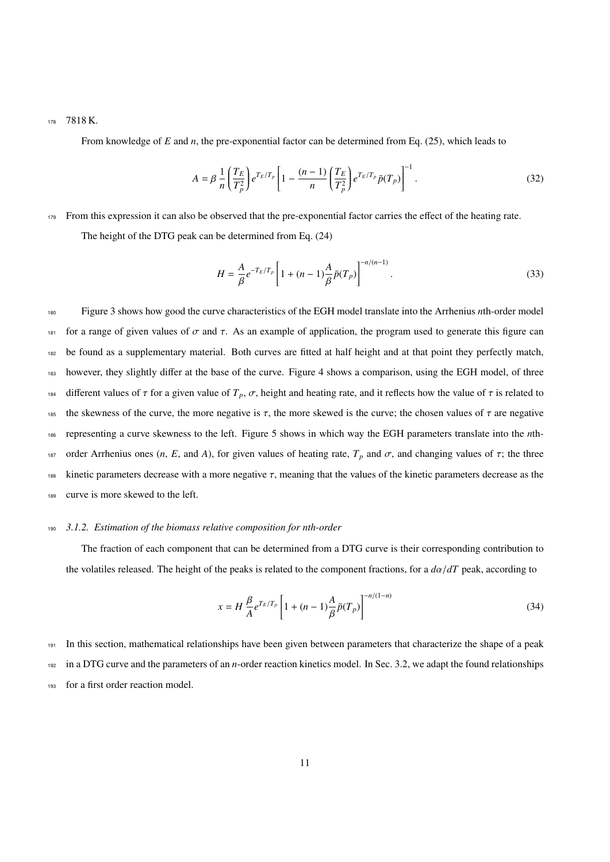## 178 7818 K.

From knowledge of *E* and *n*, the pre-exponential factor can be determined from Eq. (25), which leads to

$$
A = \beta \frac{1}{n} \left( \frac{T_E}{T_p^2} \right) e^{T_E/T_p} \left[ 1 - \frac{(n-1)}{n} \left( \frac{T_E}{T_p^2} \right) e^{T_E/T_p} \bar{p}(T_p) \right]^{-1}.
$$
 (32)

<sup>179</sup> From this expression it can also be observed that the pre-exponential factor carries the effect of the heating rate. The height of the DTG peak can be determined from Eq. (24)

$$
H = \frac{A}{\beta} e^{-T_E/T_p} \left[ 1 + (n-1) \frac{A}{\beta} \bar{p}(T_p) \right]^{-n/(n-1)}.
$$
 (33)

<sup>180</sup> Figure 3 shows how good the curve characteristics of the EGH model translate into the Arrhenius *n*th-order model 181 for a range of given values of  $\sigma$  and  $\tau$ . As an example of application, the program used to generate this figure can 182 be found as a supplementary material. Both curves are fitted at half height and at that point they perfectly match, <sup>183</sup> however, they slightly differ at the base of the curve. Figure 4 shows a comparison, using the EGH model, of three <sup>184</sup> different values of  $\tau$  for a given value of  $T_p$ ,  $\sigma$ , height and heating rate, and it reflects how the value of  $\tau$  is related to 185 the skewness of the curve, the more negative is  $\tau$ , the more skewed is the curve; the chosen values of  $\tau$  are negative <sup>186</sup> representing a curve skewness to the left. Figure 5 shows in which way the EGH parameters translate into the *n*th-187 order Arrhenius ones (*n*, *E*, and *A*), for given values of heating rate,  $T_p$  and  $\sigma$ , and changing values of  $\tau$ ; the three  $188$  kinetic parameters decrease with a more negative  $\tau$ , meaning that the values of the kinetic parameters decrease as the <sup>189</sup> curve is more skewed to the left.

## <sup>190</sup> *3.1.2. Estimation of the biomass relative composition for nth-order*

The fraction of each component that can be determined from a DTG curve is their corresponding contribution to the volatiles released. The height of the peaks is related to the component fractions, for a *<sup>d</sup>*α/*dT* peak, according to

$$
x = H \frac{\beta}{A} e^{T_E/T_p} \left[ 1 + (n-1) \frac{A}{\beta} \bar{p}(T_p) \right]^{-n/(1-n)}
$$
(34)

<sup>191</sup> In this section, mathematical relationships have been given between parameters that characterize the shape of a peak <sup>192</sup> in a DTG curve and the parameters of an *n*-order reaction kinetics model. In Sec. 3.2, we adapt the found relationships <sup>193</sup> for a first order reaction model.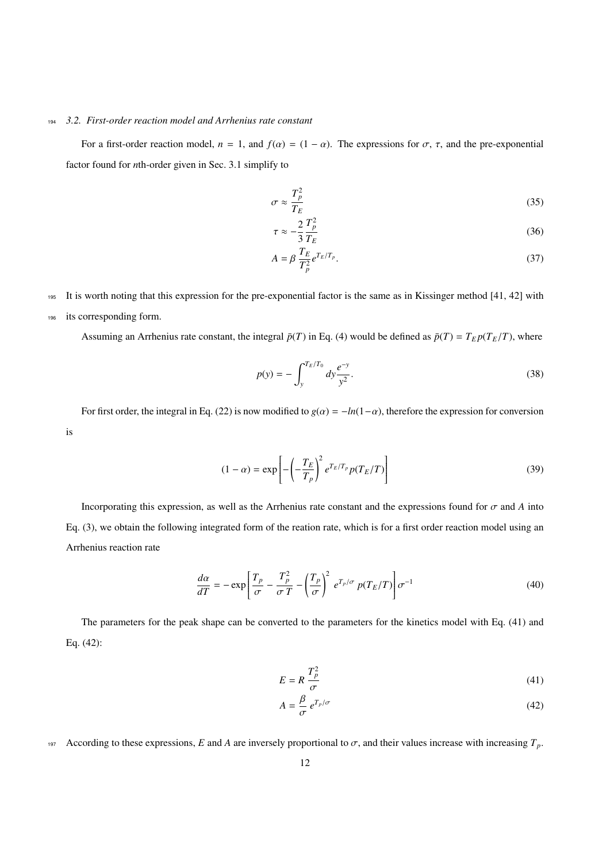## <sup>194</sup> *3.2. First-order reaction model and Arrhenius rate constant*

For a first-order reaction model,  $n = 1$ , and  $f(\alpha) = (1 - \alpha)$ . The expressions for  $\sigma$ ,  $\tau$ , and the pre-exponential factor found for *n*th-order given in Sec. 3.1 simplify to

$$
\sigma \approx \frac{T_p^2}{T_E} \tag{35}
$$

$$
\tau \approx -\frac{2}{3} \frac{T_p^2}{T_E} \tag{36}
$$

$$
A = \beta \frac{T_E}{T_p^2} e^{T_E/T_p}.
$$
\n(37)

<sup>195</sup> It is worth noting that this expression for the pre-exponential factor is the same as in Kissinger method [41, 42] with

<sup>196</sup> its corresponding form.

Assuming an Arrhenius rate constant, the integral  $\bar{p}(T)$  in Eq. (4) would be defined as  $\bar{p}(T) = T_E p(T_E/T)$ , where

$$
p(y) = -\int_{y}^{T_E/T_0} dy \frac{e^{-y}}{y^2}.
$$
 (38)

For first order, the integral in Eq. (22) is now modified to  $g(\alpha) = -ln(1-\alpha)$ , therefore the expression for conversion is

$$
(1 - \alpha) = \exp\left[-\left(-\frac{T_E}{T_p}\right)^2 e^{T_E/T_p} p(T_E/T)\right]
$$
\n(39)

Incorporating this expression, as well as the Arrhenius rate constant and the expressions found for σ and *<sup>A</sup>* into Eq. (3), we obtain the following integrated form of the reation rate, which is for a first order reaction model using an Arrhenius reaction rate

$$
\frac{d\alpha}{dT} = -\exp\left[\frac{T_p}{\sigma} - \frac{T_p^2}{\sigma T} - \left(\frac{T_p}{\sigma}\right)^2 e^{T_p/\sigma} p(T_E/T)\right] \sigma^{-1}
$$
\n(40)

The parameters for the peak shape can be converted to the parameters for the kinetics model with Eq. (41) and Eq. (42):

$$
E = R \frac{T_p^2}{\sigma} \tag{41}
$$

$$
A = \frac{\beta}{\sigma} e^{T_p/\sigma} \tag{42}
$$

197 According to these expressions, *E* and *A* are inversely proportional to  $\sigma$ , and their values increase with increasing  $T_p$ .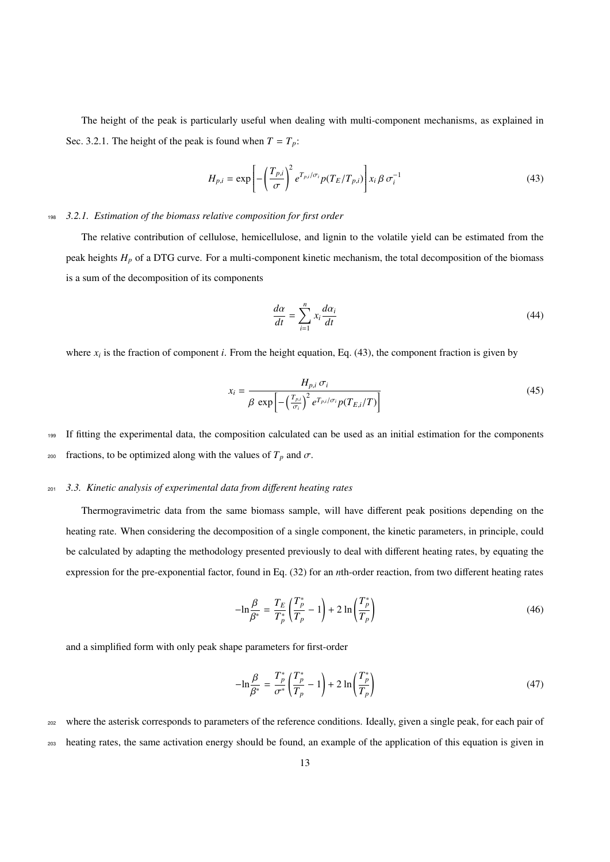The height of the peak is particularly useful when dealing with multi-component mechanisms, as explained in Sec. 3.2.1. The height of the peak is found when  $T = T_p$ :

$$
H_{p,i} = \exp\left[-\left(\frac{T_{p,i}}{\sigma}\right)^2 e^{T_{p,i}/\sigma_i} p(T_E/T_{p,i})\right] x_i \beta \sigma_i^{-1}
$$
\n(43)

#### <sup>198</sup> *3.2.1. Estimation of the biomass relative composition for first order*

The relative contribution of cellulose, hemicellulose, and lignin to the volatile yield can be estimated from the peak heights  $H_p$  of a DTG curve. For a multi-component kinetic mechanism, the total decomposition of the biomass is a sum of the decomposition of its components

$$
\frac{d\alpha}{dt} = \sum_{i=1}^{n} x_i \frac{d\alpha_i}{dt} \tag{44}
$$

where  $x_i$  is the fraction of component *i*. From the height equation, Eq. (43), the component fraction is given by

$$
x_i = \frac{H_{p,i} \sigma_i}{\beta \exp\left[-\left(\frac{T_{p,i}}{\sigma_i}\right)^2 e^{T_{p,i}/\sigma_i} p(T_{E,i}/T)\right]}
$$
(45)

<sup>199</sup> If fitting the experimental data, the composition calculated can be used as an initial estimation for the components <sup>200</sup> fractions, to be optimized along with the values of  $T_p$  and  $\sigma$ .

## <sup>201</sup> *3.3. Kinetic analysis of experimental data from di*ff*erent heating rates*

Thermogravimetric data from the same biomass sample, will have different peak positions depending on the heating rate. When considering the decomposition of a single component, the kinetic parameters, in principle, could be calculated by adapting the methodology presented previously to deal with different heating rates, by equating the expression for the pre-exponential factor, found in Eq. (32) for an *n*th-order reaction, from two different heating rates

$$
-\ln\frac{\beta}{\beta^*} = \frac{T_E}{T_p^*} \left(\frac{T_p^*}{T_p} - 1\right) + 2\ln\left(\frac{T_p^*}{T_p}\right) \tag{46}
$$

and a simplified form with only peak shape parameters for first-order

$$
-\ln\frac{\beta}{\beta^*} = \frac{T_p^*}{\sigma^*} \left(\frac{T_p^*}{T_p} - 1\right) + 2\ln\left(\frac{T_p^*}{T_p}\right) \tag{47}
$$

<sup>202</sup> where the asterisk corresponds to parameters of the reference conditions. Ideally, given a single peak, for each pair of <sup>203</sup> heating rates, the same activation energy should be found, an example of the application of this equation is given in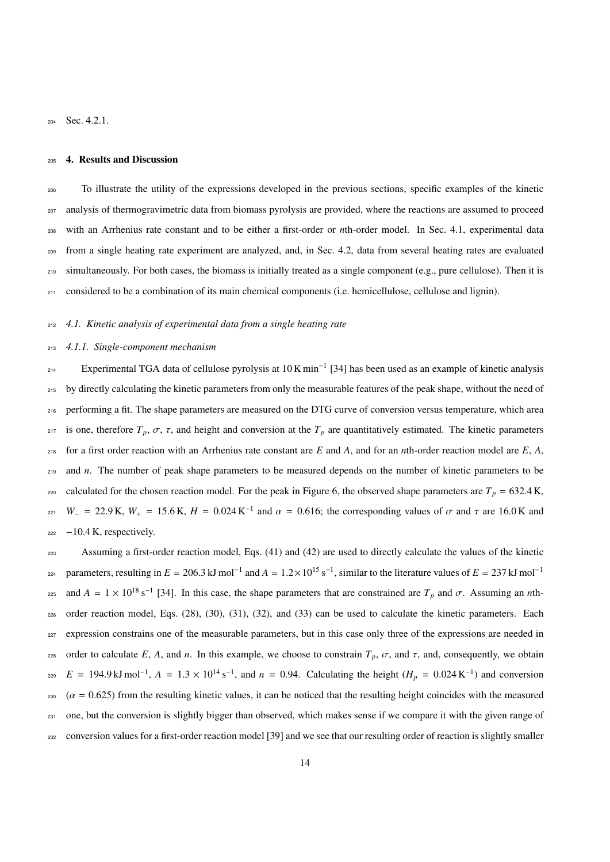<sup>204</sup> Sec. 4.2.1.

#### <sup>205</sup> 4. Results and Discussion

 To illustrate the utility of the expressions developed in the previous sections, specific examples of the kinetic analysis of thermogravimetric data from biomass pyrolysis are provided, where the reactions are assumed to proceed with an Arrhenius rate constant and to be either a first-order or *n*th-order model. In Sec. 4.1, experimental data from a single heating rate experiment are analyzed, and, in Sec. 4.2, data from several heating rates are evaluated simultaneously. For both cases, the biomass is initially treated as a single component (e.g., pure cellulose). Then it is <sup>211</sup> considered to be a combination of its main chemical components (i.e. hemicellulose, cellulose and lignin).

#### <sup>212</sup> *4.1. Kinetic analysis of experimental data from a single heating rate*

## <sup>213</sup> *4.1.1. Single-component mechanism*

Experimental TGA data of cellulose pyrolysis at  $10 \text{ K min}^{-1}$  [34] has been used as an example of kinetic analysis <sup>215</sup> by directly calculating the kinetic parameters from only the measurable features of the peak shape, without the need of <sup>216</sup> performing a fit. The shape parameters are measured on the DTG curve of conversion versus temperature, which area 217 is one, therefore  $T_p$ ,  $\sigma$ ,  $\tau$ , and height and conversion at the  $T_p$  are quantitatively estimated. The kinetic parameters <sup>218</sup> for a first order reaction with an Arrhenius rate constant are *E* and *A*, and for an *n*th-order reaction model are *E*, *A*, <sup>219</sup> and *n*. The number of peak shape parameters to be measured depends on the number of kinetic parameters to be 220 calculated for the chosen reaction model. For the peak in Figure 6, the observed shape parameters are  $T_p = 632.4 \text{ K}$ , *w*<sup>−</sup> = 22.9 K,  $W_+$  = 15.6 K,  $H = 0.024 \text{ K}^{-1}$  and  $\alpha = 0.616$ ; the corresponding values of  $\sigma$  and  $\tau$  are 16.0 K and  $222 - 10.4$  K, respectively.

<sup>223</sup> Assuming a first-order reaction model, Eqs. (41) and (42) are used to directly calculate the values of the kinetic parameters, resulting in  $E = 206.3 \text{ kJ} \text{ mol}^{-1}$  and  $A = 1.2 \times 10^{15} \text{ s}^{-1}$ , similar to the literature values of  $E = 237 \text{ kJ} \text{ mol}^{-1}$ 224 and  $A = 1 \times 10^{18} \text{ s}^{-1}$  [34]. In this case, the shape parameters that are constrained are  $T_p$  and  $\sigma$ . Assuming an *n*th-<sup>226</sup> order reaction model, Eqs. (28), (30), (31), (32), and (33) can be used to calculate the kinetic parameters. Each <sup>227</sup> expression constrains one of the measurable parameters, but in this case only three of the expressions are needed in <sup>228</sup> order to calculate *E*, *A*, and *n*. In this example, we choose to constrain  $T_p$ ,  $\sigma$ , and  $\tau$ , and, consequently, we obtain  $E = 194.9 \text{ kJ} \text{ mol}^{-1}$ ,  $A = 1.3 \times 10^{14} \text{ s}^{-1}$ , and  $n = 0.94$ . Calculating the height ( $H_p = 0.024 \text{ K}^{-1}$ ) and conversion  $\alpha = 0.625$ ) from the resulting kinetic values, it can be noticed that the resulting height coincides with the measured  $_{231}$  one, but the conversion is slightly bigger than observed, which makes sense if we compare it with the given range of <sup>232</sup> conversion values for a first-order reaction model [39] and we see that our resulting order of reaction is slightly smaller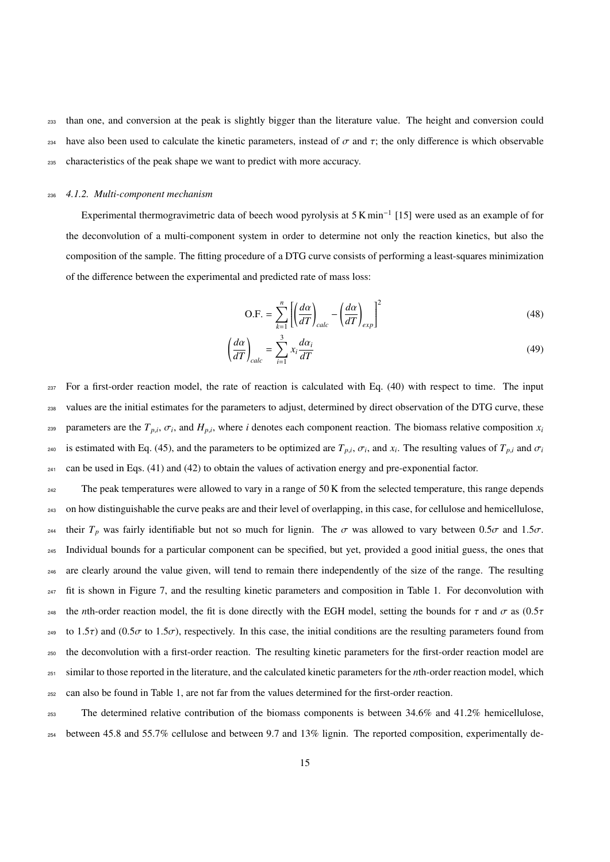<sup>233</sup> than one, and conversion at the peak is slightly bigger than the literature value. The height and conversion could  $234$  have also been used to calculate the kinetic parameters, instead of σ and τ; the only difference is which observable <sup>235</sup> characteristics of the peak shape we want to predict with more accuracy.

#### <sup>236</sup> *4.1.2. Multi-component mechanism*

Experimental thermogravimetric data of beech wood pyrolysis at 5 K min−<sup>1</sup> [15] were used as an example of for the deconvolution of a multi-component system in order to determine not only the reaction kinetics, but also the composition of the sample. The fitting procedure of a DTG curve consists of performing a least-squares minimization of the difference between the experimental and predicted rate of mass loss:

$$
\text{O.F.} = \sum_{k=1}^{n} \left[ \left( \frac{d\alpha}{dT} \right)_{calc} - \left( \frac{d\alpha}{dT} \right)_{exp} \right]^2 \tag{48}
$$

$$
\left(\frac{d\alpha}{dT}\right)_{calc} = \sum_{i=1}^{3} x_i \frac{d\alpha_i}{dT}
$$
\n(49)

<sup>237</sup> For a first-order reaction model, the rate of reaction is calculated with Eq. (40) with respect to time. The input <sup>238</sup> values are the initial estimates for the parameters to adjust, determined by direct observation of the DTG curve, these parameters are the  $T_{p,i}$ ,  $\sigma_i$ , and  $H_{p,i}$ , where *i* denotes each component reaction. The biomass relative composition  $x_i$ 239 is estimated with Eq. (45), and the parameters to be optimized are  $T_{p,i}$ ,  $\sigma_i$ , and  $x_i$ . The resulting values of  $T_{p,i}$  and  $\sigma_i$ 240  $_{241}$  can be used in Eqs. (41) and (42) to obtain the values of activation energy and pre-exponential factor.

<sup>242</sup> The peak temperatures were allowed to vary in a range of 50 K from the selected temperature, this range depends <sup>243</sup> on how distinguishable the curve peaks are and their level of overlapping, in this case, for cellulose and hemicellulose, 244 their  $T_p$  was fairly identifiable but not so much for lignin. The  $\sigma$  was allowed to vary between 0.5 $\sigma$  and 1.5 $\sigma$ . <sup>245</sup> Individual bounds for a particular component can be specified, but yet, provided a good initial guess, the ones that <sup>246</sup> are clearly around the value given, will tend to remain there independently of the size of the range. The resulting <sup>247</sup> fit is shown in Figure 7, and the resulting kinetic parameters and composition in Table 1. For deconvolution with 248 the *n*th-order reaction model, the fit is done directly with the EGH model, setting the bounds for  $\tau$  and  $\sigma$  as (0.5 $\tau$ )  $_{249}$  to 1.5 $\tau$ ) and (0.5 $\sigma$  to 1.5 $\sigma$ ), respectively. In this case, the initial conditions are the resulting parameters found from <sup>250</sup> the deconvolution with a first-order reaction. The resulting kinetic parameters for the first-order reaction model are <sup>251</sup> similar to those reported in the literature, and the calculated kinetic parameters for the *n*th-order reaction model, which <sup>252</sup> can also be found in Table 1, are not far from the values determined for the first-order reaction.

<sup>253</sup> The determined relative contribution of the biomass components is between 34.6% and 41.2% hemicellulose, <sup>254</sup> between 45.8 and 55.7% cellulose and between 9.7 and 13% lignin. The reported composition, experimentally de-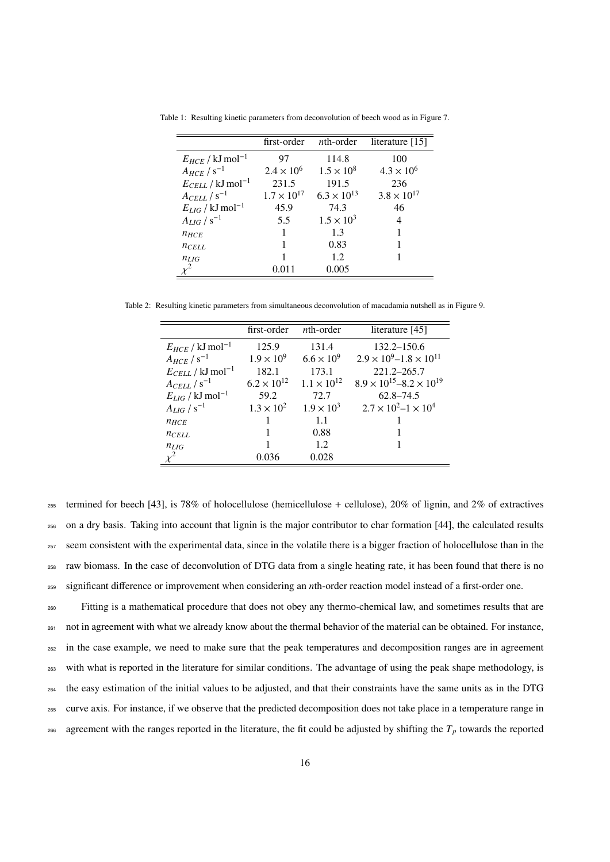|                                  | first-order          | $n$ th-order         | literature $[15]$    |
|----------------------------------|----------------------|----------------------|----------------------|
| $E_{HCE}$ / kJ mol <sup>-1</sup> | 97                   | 114.8                | 100                  |
| $A_{HCE}/s^{-1}$                 | $2.4 \times 10^{6}$  | $1.5 \times 10^{8}$  | $4.3 \times 10^{6}$  |
| $E_{CELL}/$ kJ mol <sup>-1</sup> | 231.5                | 191.5                | 236                  |
| $A_{CELL}/s^{-1}$                | $1.7 \times 10^{17}$ | $6.3 \times 10^{13}$ | $3.8 \times 10^{17}$ |
| $E_{LIG}$ / kJ mol <sup>-1</sup> | 45.9                 | 74.3                 | 46                   |
| $A_{LIG}$ / s <sup>-1</sup>      | 5.5                  | $1.5 \times 10^{3}$  | 4                    |
| $n_{HCE}$                        |                      | 1.3                  |                      |
| $n_{CELL}$                       |                      | 0.83                 |                      |
| $n_{LIG}$                        |                      | 1.2                  |                      |
|                                  | 0.011                | 0.005                |                      |

Table 1: Resulting kinetic parameters from deconvolution of beech wood as in Figure 7.

Table 2: Resulting kinetic parameters from simultaneous deconvolution of macadamia nutshell as in Figure 9.

|                                  | first-order          | $n$ th-order         | literature [45]                           |
|----------------------------------|----------------------|----------------------|-------------------------------------------|
| $E_{HCE}$ / kJ mol <sup>-1</sup> | 125.9                | 131.4                | $132.2 - 150.6$                           |
| $A_{HCE}/s^{-1}$                 | $1.9 \times 10^{9}$  | $6.6 \times 10^{9}$  | $2.9 \times 10^{9} - 1.8 \times 10^{11}$  |
| $E_{CELL}/$ kJ mol <sup>-1</sup> | 182.1                | 173.1                | $221.2 - 265.7$                           |
| $A_{CELL}/s^{-1}$                | $6.2 \times 10^{12}$ | $1.1 \times 10^{12}$ | $8.9 \times 10^{15} - 8.2 \times 10^{19}$ |
| $E_{LIG}$ / kJ mol <sup>-1</sup> | 59.2                 | 72.7                 | $62.8 - 74.5$                             |
| $A_{LIG}$ / s <sup>-1</sup>      | $1.3 \times 10^{2}$  | $1.9 \times 10^{3}$  | $2.7 \times 10^2 - 1 \times 10^4$         |
| $n_{HCE}$                        |                      | 1.1                  |                                           |
| $n_{\text{CELL}}$                |                      | 0.88                 |                                           |
| $n_{LIG}$                        |                      | 1.2.                 |                                           |
|                                  | 0.036                | 0.028                |                                           |

<sup>255</sup> termined for beech [43], is 78% of holocellulose (hemicellulose + cellulose), 20% of lignin, and 2% of extractives on a dry basis. Taking into account that lignin is the major contributor to char formation [44], the calculated results seem consistent with the experimental data, since in the volatile there is a bigger fraction of holocellulose than in the raw biomass. In the case of deconvolution of DTG data from a single heating rate, it has been found that there is no significant difference or improvement when considering an *n*th-order reaction model instead of a first-order one.

 Fitting is a mathematical procedure that does not obey any thermo-chemical law, and sometimes results that are <sub>261</sub> not in agreement with what we already know about the thermal behavior of the material can be obtained. For instance, in the case example, we need to make sure that the peak temperatures and decomposition ranges are in agreement with what is reported in the literature for similar conditions. The advantage of using the peak shape methodology, is the easy estimation of the initial values to be adjusted, and that their constraints have the same units as in the DTG curve axis. For instance, if we observe that the predicted decomposition does not take place in a temperature range in <sup>266</sup> agreement with the ranges reported in the literature, the fit could be adjusted by shifting the  $T_p$  towards the reported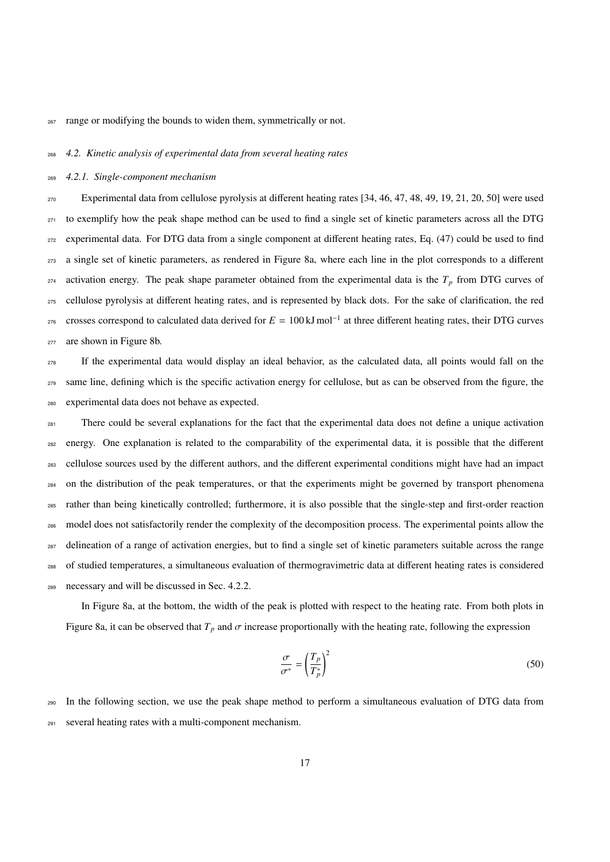range or modifying the bounds to widen them, symmetrically or not.

## *4.2. Kinetic analysis of experimental data from several heating rates*

*4.2.1. Single-component mechanism*

 Experimental data from cellulose pyrolysis at different heating rates [34, 46, 47, 48, 49, 19, 21, 20, 50] were used to exemplify how the peak shape method can be used to find a single set of kinetic parameters across all the DTG experimental data. For DTG data from a single component at different heating rates, Eq. (47) could be used to find a single set of kinetic parameters, as rendered in Figure 8a, where each line in the plot corresponds to a different activation energy. The peak shape parameter obtained from the experimental data is the  $T_p$  from DTG curves of cellulose pyrolysis at different heating rates, and is represented by black dots. For the sake of clarification, the red crosses correspond to calculated data derived for  $E = 100 \text{ kJ} \text{ mol}^{-1}$  at three different heating rates, their DTG curves are shown in Figure 8b.

 If the experimental data would display an ideal behavior, as the calculated data, all points would fall on the <sup>279</sup> same line, defining which is the specific activation energy for cellulose, but as can be observed from the figure, the experimental data does not behave as expected.

<sub>281</sub> There could be several explanations for the fact that the experimental data does not define a unique activation energy. One explanation is related to the comparability of the experimental data, it is possible that the different cellulose sources used by the different authors, and the different experimental conditions might have had an impact on the distribution of the peak temperatures, or that the experiments might be governed by transport phenomena rather than being kinetically controlled; furthermore, it is also possible that the single-step and first-order reaction model does not satisfactorily render the complexity of the decomposition process. The experimental points allow the delineation of a range of activation energies, but to find a single set of kinetic parameters suitable across the range of studied temperatures, a simultaneous evaluation of thermogravimetric data at different heating rates is considered necessary and will be discussed in Sec. 4.2.2.

In Figure 8a, at the bottom, the width of the peak is plotted with respect to the heating rate. From both plots in Figure 8a, it can be observed that  $T_p$  and  $\sigma$  increase proportionally with the heating rate, following the expression

$$
\frac{\sigma}{\sigma^*} = \left(\frac{T_p}{T_p^*}\right)^2\tag{50}
$$

 In the following section, we use the peak shape method to perform a simultaneous evaluation of DTG data from several heating rates with a multi-component mechanism.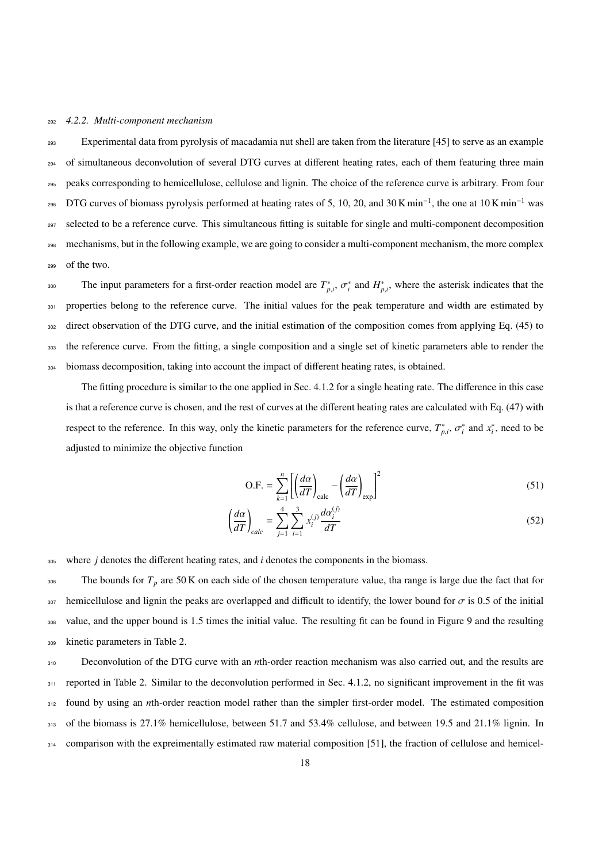#### <sup>292</sup> *4.2.2. Multi-component mechanism*

 Experimental data from pyrolysis of macadamia nut shell are taken from the literature [45] to serve as an example of simultaneous deconvolution of several DTG curves at different heating rates, each of them featuring three main peaks corresponding to hemicellulose, cellulose and lignin. The choice of the reference curve is arbitrary. From four 296 DTG curves of biomass pyrolysis performed at heating rates of 5, 10, 20, and 30 K min<sup>-1</sup>, the one at 10 K min<sup>-1</sup> was selected to be a reference curve. This simultaneous fitting is suitable for single and multi-component decomposition mechanisms, but in the following example, we are going to consider a multi-component mechanism, the more complex of the two.

The input parameters for a first-order reaction model are  $T^*_{p,i}$ ,  $\sigma^*_i$  and  $H^*_{p,i}$ , where the asterisk indicates that the 301 properties belong to the reference curve. The initial values for the peak temperature and width are estimated by <sup>302</sup> direct observation of the DTG curve, and the initial estimation of the composition comes from applying Eq. (45) to <sup>303</sup> the reference curve. From the fitting, a single composition and a single set of kinetic parameters able to render the <sup>304</sup> biomass decomposition, taking into account the impact of different heating rates, is obtained.

The fitting procedure is similar to the one applied in Sec. 4.1.2 for a single heating rate. The difference in this case is that a reference curve is chosen, and the rest of curves at the different heating rates are calculated with Eq. (47) with respect to the reference. In this way, only the kinetic parameters for the reference curve,  $T_{p,i}^*$ ,  $\sigma_i^*$  and  $x_i^*$ , need to be adjusted to minimize the objective function

$$
\text{O.F.} = \sum_{k=1}^{n} \left[ \left( \frac{d\alpha}{dT} \right)_{\text{calc}} - \left( \frac{d\alpha}{dT} \right)_{\text{exp}} \right]^2 \tag{51}
$$

$$
\left(\frac{d\alpha}{dT}\right)_{calc} = \sum_{j=1}^{4} \sum_{i=1}^{3} x_i^{(j)} \frac{d\alpha_i^{(j)}}{dT}
$$
\n
$$
\tag{52}
$$

<sup>305</sup> where *j* denotes the different heating rates, and *i* denotes the components in the biomass.

<sup>306</sup> The bounds for  $T_p$  are 50 K on each side of the chosen temperature value, tha range is large due the fact that for hemicellulose and lignin the peaks are overlapped and difficult to identify, the lower bound for  $\sigma$  is 0.5 of the initial value, and the upper bound is 1.5 times the initial value. The resulting fit can be found in Figure 9 and the resulting kinetic parameters in Table 2.

<sup>310</sup> Deconvolution of the DTG curve with an *n*th-order reaction mechanism was also carried out, and the results are 311 reported in Table 2. Similar to the deconvolution performed in Sec. 4.1.2, no significant improvement in the fit was 312 found by using an *n*th-order reaction model rather than the simpler first-order model. The estimated composition 313 of the biomass is 27.1% hemicellulose, between 51.7 and 53.4% cellulose, and between 19.5 and 21.1% lignin. In 314 comparison with the expreimentally estimated raw material composition [51], the fraction of cellulose and hemicel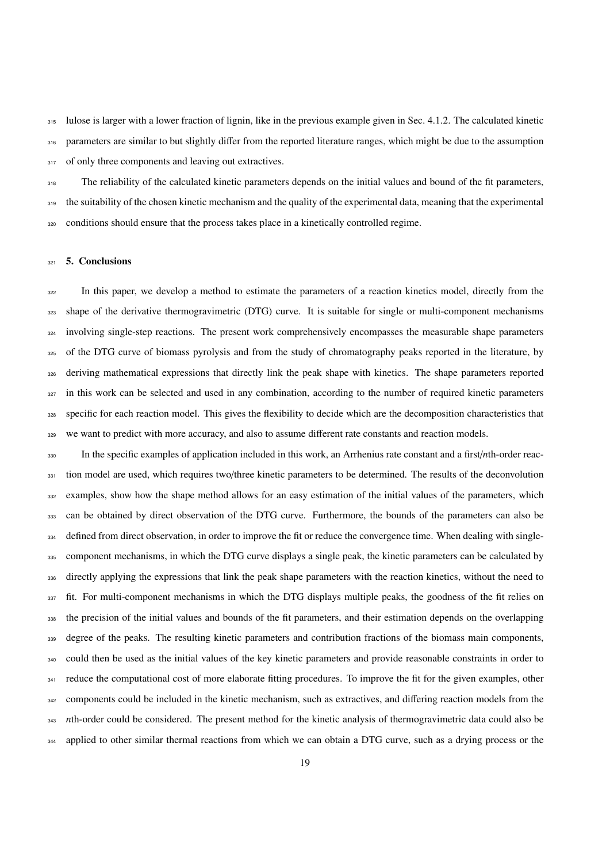<sup>315</sup> lulose is larger with a lower fraction of lignin, like in the previous example given in Sec. 4.1.2. The calculated kinetic 316 parameters are similar to but slightly differ from the reported literature ranges, which might be due to the assumption 317 of only three components and leaving out extractives.

<sup>318</sup> The reliability of the calculated kinetic parameters depends on the initial values and bound of the fit parameters, <sup>319</sup> the suitability of the chosen kinetic mechanism and the quality of the experimental data, meaning that the experimental <sup>320</sup> conditions should ensure that the process takes place in a kinetically controlled regime.

## 321 5. Conclusions

<sup>322</sup> In this paper, we develop a method to estimate the parameters of a reaction kinetics model, directly from the <sub>323</sub> shape of the derivative thermogravimetric (DTG) curve. It is suitable for single or multi-component mechanisms <sup>324</sup> involving single-step reactions. The present work comprehensively encompasses the measurable shape parameters 325 of the DTG curve of biomass pyrolysis and from the study of chromatography peaks reported in the literature, by <sup>326</sup> deriving mathematical expressions that directly link the peak shape with kinetics. The shape parameters reported <sup>327</sup> in this work can be selected and used in any combination, according to the number of required kinetic parameters <sup>328</sup> specific for each reaction model. This gives the flexibility to decide which are the decomposition characteristics that <sup>329</sup> we want to predict with more accuracy, and also to assume different rate constants and reaction models.

<sup>330</sup> In the specific examples of application included in this work, an Arrhenius rate constant and a first/*n*th-order reac-331 tion model are used, which requires two/three kinetic parameters to be determined. The results of the deconvolution <sup>332</sup> examples, show how the shape method allows for an easy estimation of the initial values of the parameters, which <sup>333</sup> can be obtained by direct observation of the DTG curve. Furthermore, the bounds of the parameters can also be <sup>334</sup> defined from direct observation, in order to improve the fit or reduce the convergence time. When dealing with single-<sup>335</sup> component mechanisms, in which the DTG curve displays a single peak, the kinetic parameters can be calculated by 336 directly applying the expressions that link the peak shape parameters with the reaction kinetics, without the need to 337 fit. For multi-component mechanisms in which the DTG displays multiple peaks, the goodness of the fit relies on <sup>338</sup> the precision of the initial values and bounds of the fit parameters, and their estimation depends on the overlapping 339 degree of the peaks. The resulting kinetic parameters and contribution fractions of the biomass main components, <sub>340</sub> could then be used as the initial values of the key kinetic parameters and provide reasonable constraints in order to <sup>341</sup> reduce the computational cost of more elaborate fitting procedures. To improve the fit for the given examples, other 342 components could be included in the kinetic mechanism, such as extractives, and differing reaction models from the 343 *nth*-order could be considered. The present method for the kinetic analysis of thermogravimetric data could also be <sup>344</sup> applied to other similar thermal reactions from which we can obtain a DTG curve, such as a drying process or the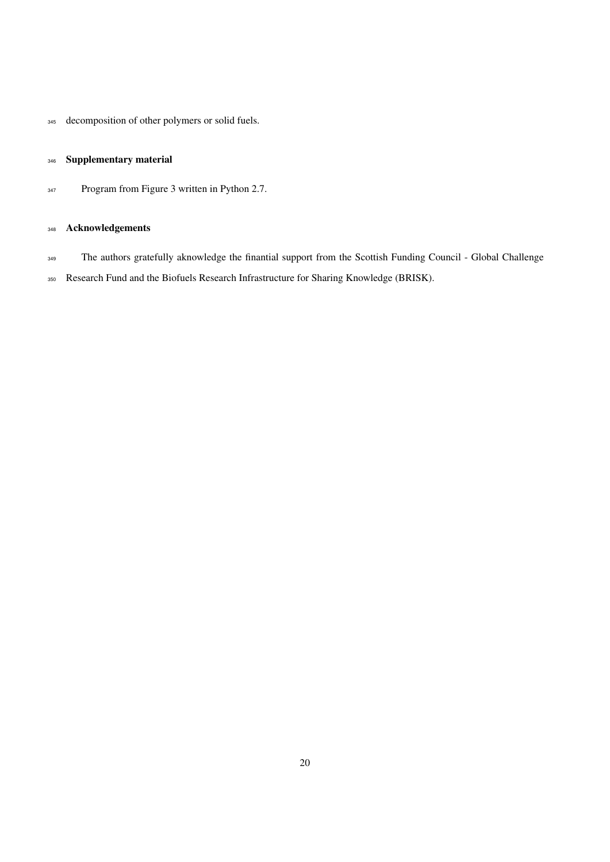345 decomposition of other polymers or solid fuels.

# <sup>346</sup> Supplementary material

347 Program from Figure 3 written in Python 2.7.

# <sup>348</sup> Acknowledgements

- 349 The authors gratefully aknowledge the finantial support from the Scottish Funding Council Global Challenge
- <sup>350</sup> Research Fund and the Biofuels Research Infrastructure for Sharing Knowledge (BRISK).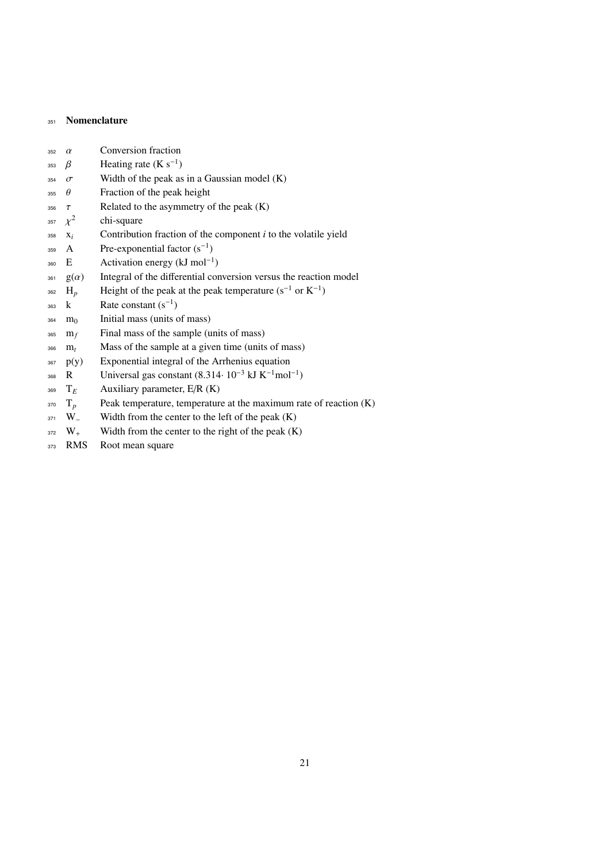## <sup>351</sup> Nomenclature

| 352 | $\alpha$       | Conversion fraction                                                             |
|-----|----------------|---------------------------------------------------------------------------------|
| 353 | β              | Heating rate $(K s^{-1})$                                                       |
| 354 | $\sigma$       | Width of the peak as in a Gaussian model $(K)$                                  |
| 355 | $\theta$       | Fraction of the peak height                                                     |
| 356 | $\tau$         | Related to the asymmetry of the peak (K)                                        |
| 357 | $\chi^2$       | chi-square                                                                      |
| 358 | $X_i$          | Contribution fraction of the component $i$ to the volatile yield                |
| 359 | A              | Pre-exponential factor $(s^{-1})$                                               |
| 360 | Ε              | Activation energy ( $kJ \text{ mol}^{-1}$ )                                     |
| 361 | $g(\alpha)$    | Integral of the differential conversion versus the reaction model               |
| 362 | $H_p$          | Height of the peak at the peak temperature $(s^{-1}$ or $K^{-1}$ )              |
| 363 | k              | Rate constant $(s^{-1})$                                                        |
| 364 | m <sub>0</sub> | Initial mass (units of mass)                                                    |
| 365 | $m_f$          | Final mass of the sample (units of mass)                                        |
| 366 | $m_t$          | Mass of the sample at a given time (units of mass)                              |
| 367 | p(y)           | Exponential integral of the Arrhenius equation                                  |
| 368 | R              | Universal gas constant (8.314· $10^{-3}$ kJ K <sup>-1</sup> mol <sup>-1</sup> ) |
| 369 | $\mathrm{T}_E$ | Auxiliary parameter, $E/R$ (K)                                                  |
| 370 | $T_p$          | Peak temperature, temperature at the maximum rate of reaction $(K)$             |
| 371 | $W_{-}$        | Width from the center to the left of the peak $(K)$                             |
| 372 | $W_{+}$        | Width from the center to the right of the peak $(K)$                            |
|     |                |                                                                                 |

373 RMS Root mean square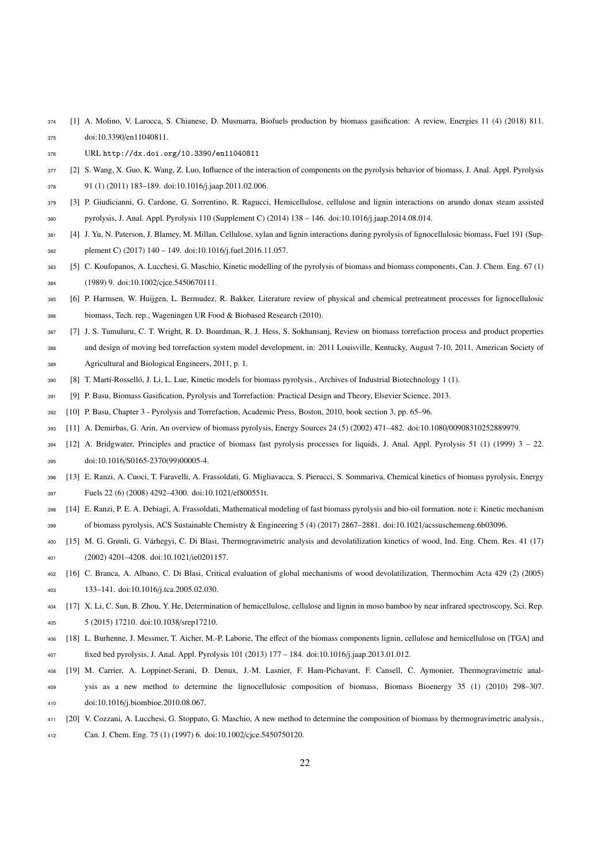- [1] A. Molino, V. Larocca, S. Chianese, D. Musmarra, Biofuels production by biomass gasification: A review, Energies 11 (4) (2018) 811. doi:10.3390/en11040811.
- URL http://dx.doi.org/10.3390/en11040811
- [2] S. Wang, X. Guo, K. Wang, Z. Luo, Influence of the interaction of components on the pyrolysis behavior of biomass, J. Anal. Appl. Pyrolysis 91 (1) (2011) 183–189. doi:10.1016/j.jaap.2011.02.006.
- [3] P. Giudicianni, G. Cardone, G. Sorrentino, R. Ragucci, Hemicellulose, cellulose and lignin interactions on arundo donax steam assisted pyrolysis, J. Anal. Appl. Pyrolysis 110 (Supplement C) (2014) 138 – 146. doi:10.1016/j.jaap.2014.08.014.
- [4] J. Yu, N. Paterson, J. Blamey, M. Millan, Cellulose, xylan and lignin interactions during pyrolysis of lignocellulosic biomass, Fuel 191 (Sup-plement C) (2017) 140 – 149. doi:10.1016/j.fuel.2016.11.057.
- [5] C. Koufopanos, A. Lucchesi, G. Maschio, Kinetic modelling of the pyrolysis of biomass and biomass components, Can. J. Chem. Eng. 67 (1) (1989) 9. doi:10.1002/cjce.5450670111.
- [6] P. Harmsen, W. Huijgen, L. Bermudez, R. Bakker, Literature review of physical and chemical pretreatment processes for lignocellulosic biomass, Tech. rep., Wageningen UR Food & Biobased Research (2010).
- [7] J. S. Tumuluru, C. T. Wright, R. D. Boardman, R. J. Hess, S. Sokhansanj, Review on biomass torrefaction process and product properties
- and design of moving bed torrefaction system model development, in: 2011 Louisville, Kentucky, August 7-10, 2011, American Society of Agricultural and Biological Engineers, 2011, p. 1.
- [8] T. Mart´ı-Rossello, J. Li, L. Lue, Kinetic models for biomass pyrolysis., Archives of Industrial Biotechnology 1 (1). ´
- [9] P. Basu, Biomass Gasification, Pyrolysis and Torrefaction: Practical Design and Theory, Elsevier Science, 2013.
- [10] P. Basu, Chapter 3 Pyrolysis and Torrefaction, Academic Press, Boston, 2010, book section 3, pp. 65–96.
- [11] A. Demirbas, G. Arin, An overview of biomass pyrolysis, Energy Sources 24 (5) (2002) 471–482. doi:10.1080/00908310252889979.
- [12] A. Bridgwater, Principles and practice of biomass fast pyrolysis processes for liquids, J. Anal. Appl. Pyrolysis 51 (1) (1999)  $3 22$ . doi:10.1016/S0165-2370(99)00005-4.
- [13] E. Ranzi, A. Cuoci, T. Faravelli, A. Frassoldati, G. Migliavacca, S. Pierucci, S. Sommariva, Chemical kinetics of biomass pyrolysis, Energy
- Fuels 22 (6) (2008) 4292–4300. doi:10.1021/ef800551t.
- [14] E. Ranzi, P. E. A. Debiagi, A. Frassoldati, Mathematical modeling of fast biomass pyrolysis and bio-oil formation. note i: Kinetic mechanism of biomass pyrolysis, ACS Sustainable Chemistry & Engineering 5 (4) (2017) 2867–2881. doi:10.1021/acssuschemeng.6b03096.
- [15] M. G. Grønli, G. Varhegyi, C. Di Blasi, Thermogravimetric analysis and devolatilization kinetics of wood, Ind. Eng. Chem. Res. 41 (17) ´ (2002) 4201–4208. doi:10.1021/ie0201157.
- [16] C. Branca, A. Albano, C. Di Blasi, Critical evaluation of global mechanisms of wood devolatilization, Thermochim Acta 429 (2) (2005) 133–141. doi:10.1016/j.tca.2005.02.030.
- [17] X. Li, C. Sun, B. Zhou, Y. He, Determination of hemicellulose, cellulose and lignin in moso bamboo by near infrared spectroscopy, Sci. Rep. 5 (2015) 17210. doi:10.1038/srep17210.
- [18] L. Burhenne, J. Messmer, T. Aicher, M.-P. Laborie, The effect of the biomass components lignin, cellulose and hemicellulose on {TGA} and
- fixed bed pyrolysis, J. Anal. Appl. Pyrolysis 101 (2013) 177 184. doi:10.1016/j.jaap.2013.01.012.
- [19] M. Carrier, A. Loppinet-Serani, D. Denux, J.-M. Lasnier, F. Ham-Pichavant, F. Cansell, C. Aymonier, Thermogravimetric anal-
- ysis as a new method to determine the lignocellulosic composition of biomass, Biomass Bioenergy 35 (1) (2010) 298–307. doi:10.1016/j.biombioe.2010.08.067.
- [20] V. Cozzani, A. Lucchesi, G. Stoppato, G. Maschio, A new method to determine the composition of biomass by thermogravimetric analysis.,
- Can. J. Chem. Eng. 75 (1) (1997) 6. doi:10.1002/cjce.5450750120.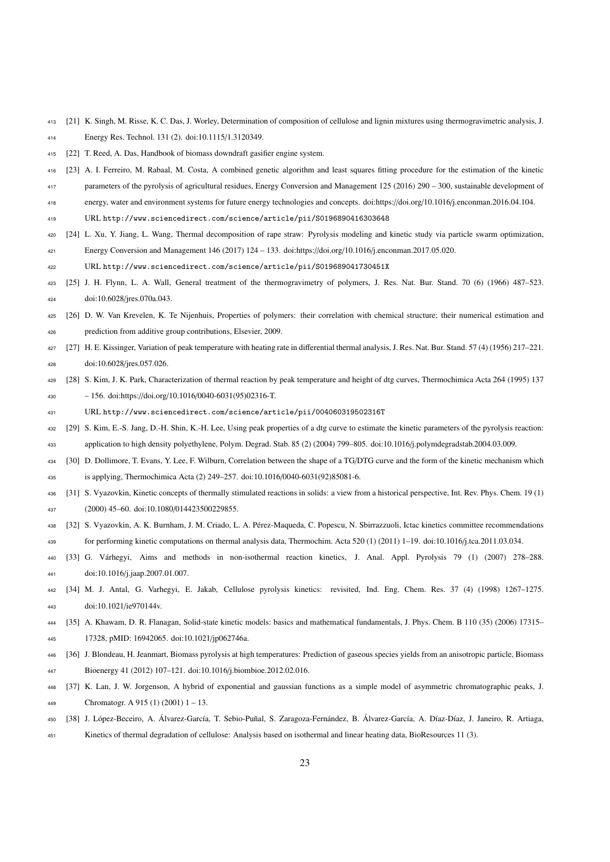[21] K. Singh, M. Risse, K. C. Das, J. Worley, Determination of composition of cellulose and lignin mixtures using thermogravimetric analysis, J.

- Energy Res. Technol. 131 (2). doi:10.1115/1.3120349.
- [22] T. Reed, A. Das, Handbook of biomass downdraft gasifier engine system.
- [23] A. I. Ferreiro, M. Rabaal, M. Costa, A combined genetic algorithm and least squares fitting procedure for the estimation of the kinetic
- parameters of the pyrolysis of agricultural residues, Energy Conversion and Management 125 (2016) 290 300, sustainable development of
- energy, water and environment systems for future energy technologies and concepts. doi:https://doi.org/10.1016/j.enconman.2016.04.104.
- URL http://www.sciencedirect.com/science/article/pii/S0196890416303648
- [24] L. Xu, Y. Jiang, L. Wang, Thermal decomposition of rape straw: Pyrolysis modeling and kinetic study via particle swarm optimization,
- Energy Conversion and Management 146 (2017) 124 133. doi:https://doi.org/10.1016/j.enconman.2017.05.020.
- URL http://www.sciencedirect.com/science/article/pii/S019689041730451X
- [25] J. H. Flynn, L. A. Wall, General treatment of the thermogravimetry of polymers, J. Res. Nat. Bur. Stand. 70 (6) (1966) 487–523. doi:10.6028/jres.070a.043.
- [26] D. W. Van Krevelen, K. Te Nijenhuis, Properties of polymers: their correlation with chemical structure; their numerical estimation and prediction from additive group contributions, Elsevier, 2009.
- [27] H. E. Kissinger, Variation of peak temperature with heating rate in differential thermal analysis, J. Res. Nat. Bur. Stand. 57 (4) (1956) 217–221. doi:10.6028/jres.057.026.
- [28] S. Kim, J. K. Park, Characterization of thermal reaction by peak temperature and height of dtg curves, Thermochimica Acta 264 (1995) 137 – 156. doi:https://doi.org/10.1016/0040-6031(95)02316-T.
- URL http://www.sciencedirect.com/science/article/pii/004060319502316T
- [29] S. Kim, E.-S. Jang, D.-H. Shin, K.-H. Lee, Using peak properties of a dtg curve to estimate the kinetic parameters of the pyrolysis reaction:
- application to high density polyethylene, Polym. Degrad. Stab. 85 (2) (2004) 799–805. doi:10.1016/j.polymdegradstab.2004.03.009.
- [30] D. Dollimore, T. Evans, Y. Lee, F. Wilburn, Correlation between the shape of a TG/DTG curve and the form of the kinetic mechanism which is applying, Thermochimica Acta (2) 249–257. doi:10.1016/0040-6031(92)85081-6.
- [31] S. Vyazovkin, Kinetic concepts of thermally stimulated reactions in solids: a view from a historical perspective, Int. Rev. Phys. Chem. 19 (1)
- (2000) 45–60. doi:10.1080/014423500229855.
- [32] S. Vyazovkin, A. K. Burnham, J. M. Criado, L. A. Perez-Maqueda, C. Popescu, N. Sbirrazzuoli, Ictac kinetics committee recommendations ´ for performing kinetic computations on thermal analysis data, Thermochim. Acta 520 (1) (2011) 1–19. doi:10.1016/j.tca.2011.03.034.
- [33] G. Varhegyi, Aims and methods in non-isothermal reaction kinetics, J. Anal. Appl. Pyrolysis 79 (1) (2007) 278–288. ´ doi:10.1016/j.jaap.2007.01.007.
- [34] M. J. Antal, G. Varhegyi, E. Jakab, Cellulose pyrolysis kinetics: revisited, Ind. Eng. Chem. Res. 37 (4) (1998) 1267–1275. doi:10.1021/ie970144v.
- [35] A. Khawam, D. R. Flanagan, Solid-state kinetic models: basics and mathematical fundamentals, J. Phys. Chem. B 110 (35) (2006) 17315– 17328, pMID: 16942065. doi:10.1021/jp062746a.
- [36] J. Blondeau, H. Jeanmart, Biomass pyrolysis at high temperatures: Prediction of gaseous species yields from an anisotropic particle, Biomass Bioenergy 41 (2012) 107–121. doi:10.1016/j.biombioe.2012.02.016.
- [37] K. Lan, J. W. Jorgenson, A hybrid of exponential and gaussian functions as a simple model of asymmetric chromatographic peaks, J. Chromatogr. A 915 (1) (2001) 1 – 13.
- 450 [38] J. López-Beceiro, A. Álvarez-García, T. Sebio-Puñal, S. Zaragoza-Fernández, B. Álvarez-García, A. Díaz-Díaz, J. Janeiro, R. Artiaga,
- Kinetics of thermal degradation of cellulose: Analysis based on isothermal and linear heating data, BioResources 11 (3).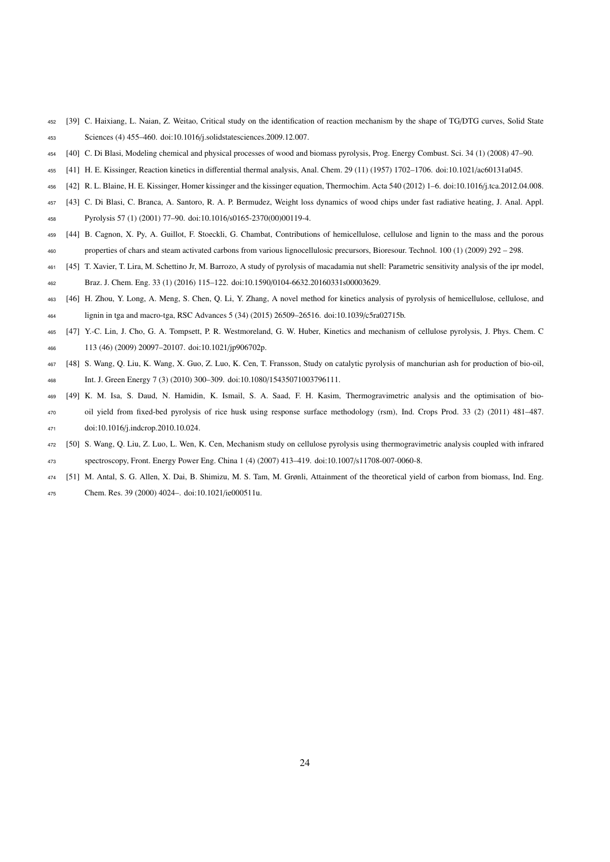- [39] C. Haixiang, L. Naian, Z. Weitao, Critical study on the identification of reaction mechanism by the shape of TG/DTG curves, Solid State
- Sciences (4) 455–460. doi:10.1016/j.solidstatesciences.2009.12.007.
- [40] C. Di Blasi, Modeling chemical and physical processes of wood and biomass pyrolysis, Prog. Energy Combust. Sci. 34 (1) (2008) 47–90.
- [41] H. E. Kissinger, Reaction kinetics in differential thermal analysis, Anal. Chem. 29 (11) (1957) 1702–1706. doi:10.1021/ac60131a045.
- [42] R. L. Blaine, H. E. Kissinger, Homer kissinger and the kissinger equation, Thermochim. Acta 540 (2012) 1–6. doi:10.1016/j.tca.2012.04.008.
- [43] C. Di Blasi, C. Branca, A. Santoro, R. A. P. Bermudez, Weight loss dynamics of wood chips under fast radiative heating, J. Anal. Appl.
- Pyrolysis 57 (1) (2001) 77–90. doi:10.1016/s0165-2370(00)00119-4.
- [44] B. Cagnon, X. Py, A. Guillot, F. Stoeckli, G. Chambat, Contributions of hemicellulose, cellulose and lignin to the mass and the porous properties of chars and steam activated carbons from various lignocellulosic precursors, Bioresour. Technol. 100 (1) (2009) 292 – 298.
- [45] T. Xavier, T. Lira, M. Schettino Jr, M. Barrozo, A study of pyrolysis of macadamia nut shell: Parametric sensitivity analysis of the ipr model, Braz. J. Chem. Eng. 33 (1) (2016) 115–122. doi:10.1590/0104-6632.20160331s00003629.
- [46] H. Zhou, Y. Long, A. Meng, S. Chen, Q. Li, Y. Zhang, A novel method for kinetics analysis of pyrolysis of hemicellulose, cellulose, and lignin in tga and macro-tga, RSC Advances 5 (34) (2015) 26509–26516. doi:10.1039/c5ra02715b.
- [47] Y.-C. Lin, J. Cho, G. A. Tompsett, P. R. Westmoreland, G. W. Huber, Kinetics and mechanism of cellulose pyrolysis, J. Phys. Chem. C 113 (46) (2009) 20097–20107. doi:10.1021/jp906702p.
- [48] S. Wang, Q. Liu, K. Wang, X. Guo, Z. Luo, K. Cen, T. Fransson, Study on catalytic pyrolysis of manchurian ash for production of bio-oil, Int. J. Green Energy 7 (3) (2010) 300–309. doi:10.1080/15435071003796111.
- [49] K. M. Isa, S. Daud, N. Hamidin, K. Ismail, S. A. Saad, F. H. Kasim, Thermogravimetric analysis and the optimisation of bio- oil yield from fixed-bed pyrolysis of rice husk using response surface methodology (rsm), Ind. Crops Prod. 33 (2) (2011) 481–487. doi:10.1016/j.indcrop.2010.10.024.
- [50] S. Wang, Q. Liu, Z. Luo, L. Wen, K. Cen, Mechanism study on cellulose pyrolysis using thermogravimetric analysis coupled with infrared
- spectroscopy, Front. Energy Power Eng. China 1 (4) (2007) 413–419. doi:10.1007/s11708-007-0060-8.
- [51] M. Antal, S. G. Allen, X. Dai, B. Shimizu, M. S. Tam, M. Grønli, Attainment of the theoretical yield of carbon from biomass, Ind. Eng.
- Chem. Res. 39 (2000) 4024–. doi:10.1021/ie000511u.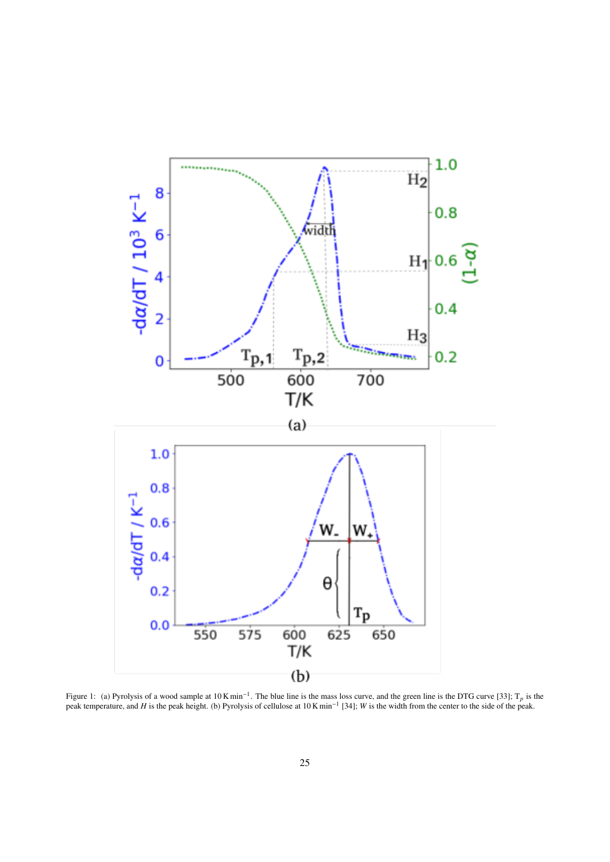

Figure 1: (a) Pyrolysis of a wood sample at 10 K min<sup>-1</sup>. The blue line is the mass loss curve, and the green line is the DTG curve [33];  $T_p$  is the peak temperature, and H is the peak height. (b) Pyrolysis of cellulose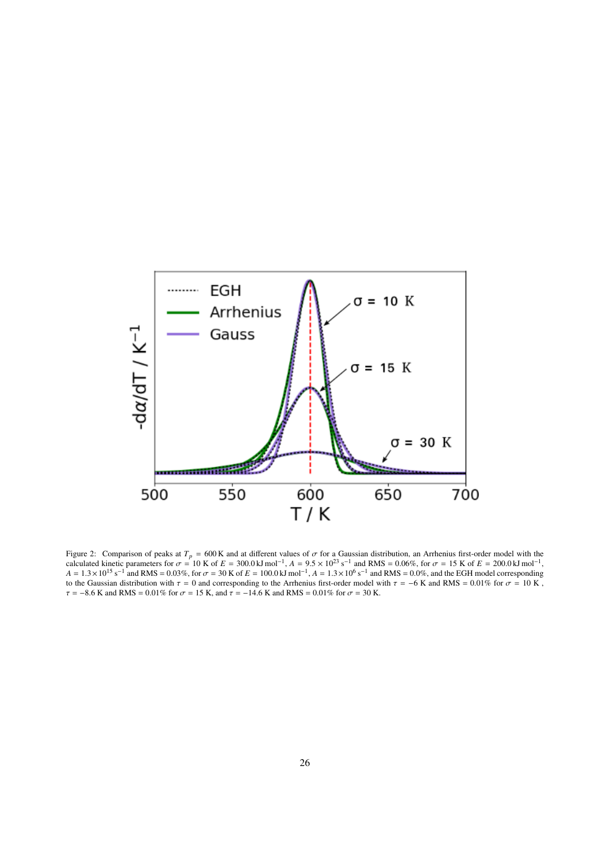

Figure 2: Comparison of peaks at  $T_p = 600$  K and at different values of  $\sigma$  for a Gaussian distribution, an Arrhenius first-order model with the calculated kinetic parameters for  $\sigma = 10$  K of  $E = 300.0$  kJ mol<sup>-1</sup>,  $A =$  $A = 1.3 \times 10^{15} \text{ s}^{-1}$  and RMS = 0.03%, for  $\sigma = 30 \text{ K}$  of  $E = 100.0 \text{ kJ}$  mol<sup>-1</sup>,  $A = 1.3 \times 10^6 \text{ s}^{-1}$  and RMS = 0.0%, and the EGH model corresponding<br>to the Gaussian distribution with  $\tau = 0$  and corresponding to the Gaussian distribution with  $\tau = 0$  and corresponding to the Arrhenius first-order model with  $\tau = -6$  K and RMS = 0.01% for  $\sigma = 10$  K,  $\tau = -8.6$  K and RMS = 0.01% for  $\sigma = 15$  K, and  $\tau = -14.6$  K and RMS = 0.01% for  $\sigma = 30$  K.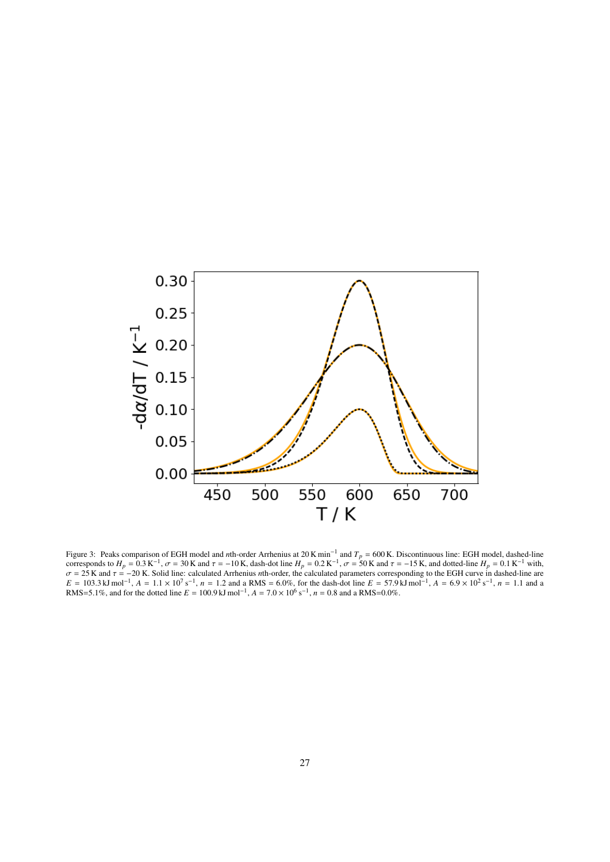

Figure 3: Peaks comparison of EGH model and *n*th-order Arrhenius at 20 K min<sup>-1</sup> and  $T_p = 600$  K. Discontinuous line: EGH model, dashed-line corresponds to  $H_p = 0.3$  K<sup>-1</sup>,  $\sigma = 30$  K and  $\tau = -10$  K, dash-dot line  $H_p = 0$  $\sigma = 25$  K and  $\tau = -20$  K. Solid line: calculated Arrhenius *n*th-order, the calculated parameters corresponding to the EGH curve in dashed-line are  $F = 103.3 \text{ kJ/mol}^{-1}$ ,  $A = 11 \times 10^7 \text{ s}^{-1}$ ,  $n = 1.2$  and a RMS = 6.0%,  $E = 103.3 \text{ kJ} \text{ mol}^{-1}$ ,  $A = 1.1 \times 10^7 \text{ s}^{-1}$ ,  $n = 1.2$  and a RMS = 6.0%, for the dash-dot line  $E = 57.9 \text{ kJ} \text{ mol}^{-1}$ ,  $A = 6.9 \times 10^2 \text{ s}^{-1}$ ,  $n = 1.1$  and a RMS=5.1%, and for the dotted line  $E = 100.9 \text{ kJ} \text{ mol}^{-1$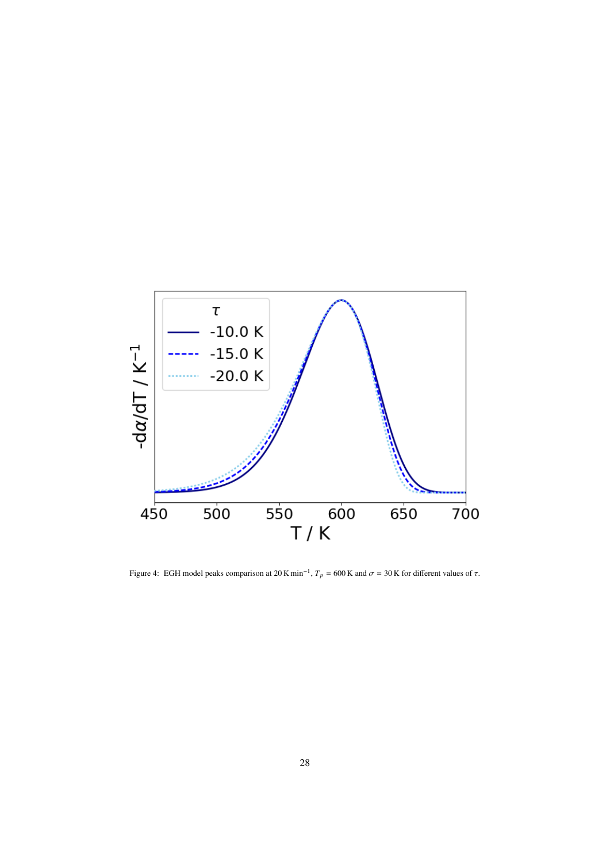

Figure 4: EGH model peaks comparison at 20 K min<sup>-1</sup>,  $T_p$  = 600 K and  $\sigma$  = 30 K for different values of τ.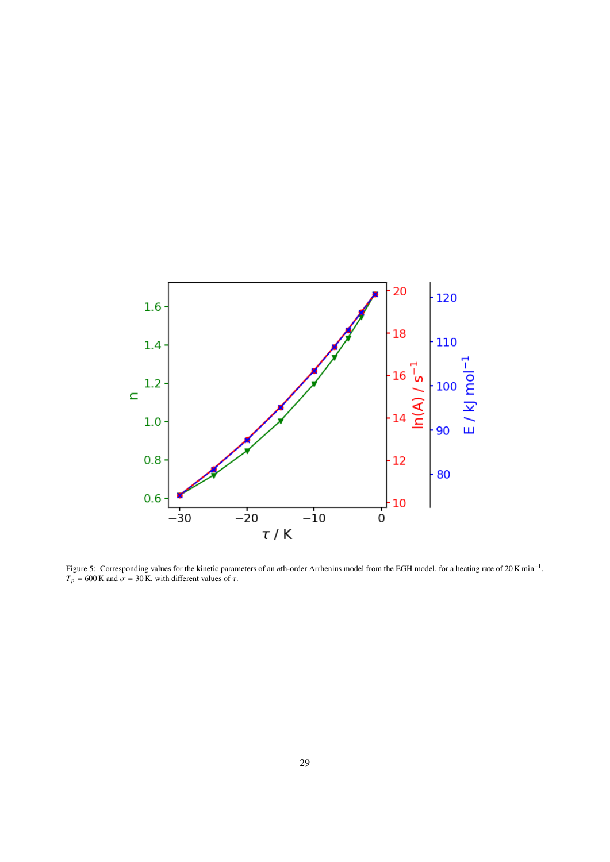

Figure 5: Corresponding values for the kinetic parameters of an *n*th-order Arrhenius model from the EGH model, for a heating rate of 20 K min−<sup>1</sup> ,  $T_p = 600 \text{ K}$  and  $\sigma = 30 \text{ K}$ , with different values of  $\tau$ .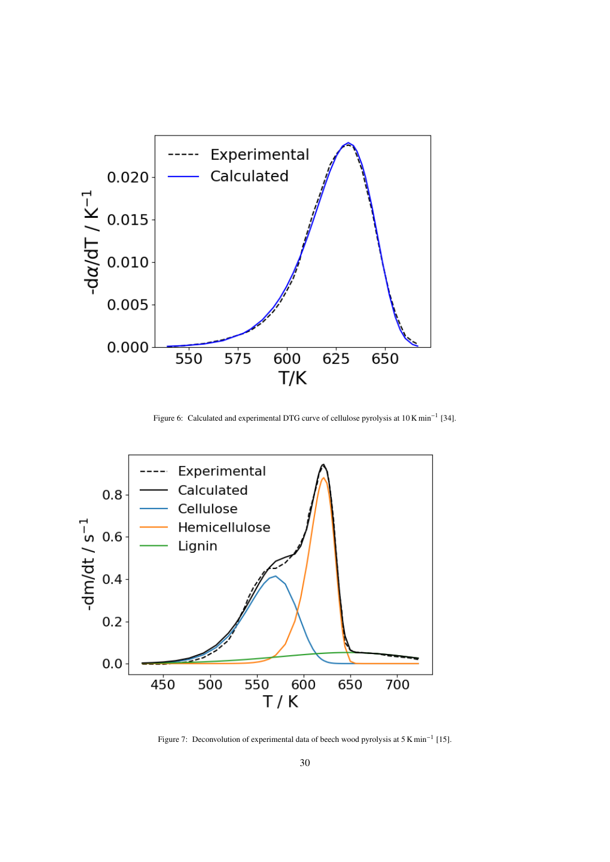

Figure 6: Calculated and experimental DTG curve of cellulose pyrolysis at 10 K min−<sup>1</sup> [34].



Figure 7: Deconvolution of experimental data of beech wood pyrolysis at 5 K min<sup>-1</sup> [15].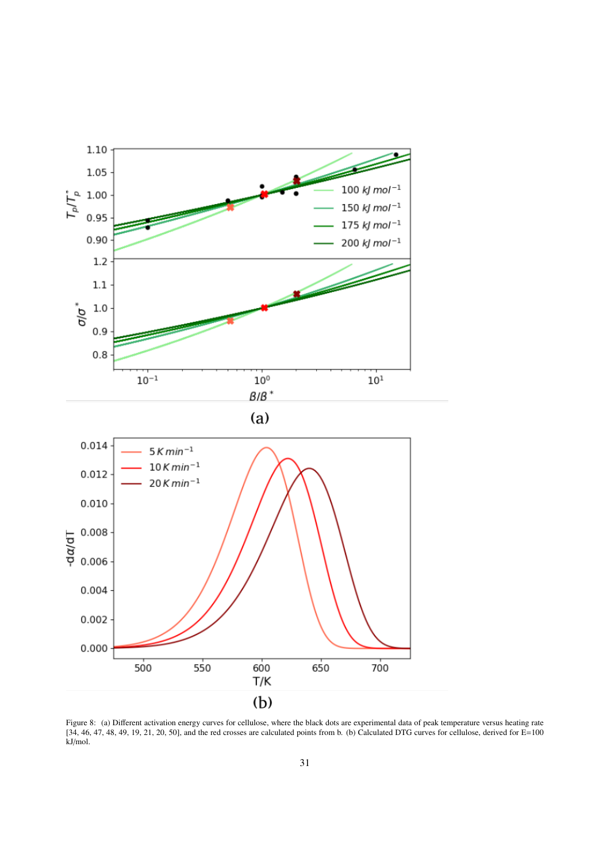

Figure 8: (a) Different activation energy curves for cellulose, where the black dots are experimental data of peak temperature versus heating rate [34, 46, 47, 48, 49, 19, 21, 20, 50], and the red crosses are calculated points from b. (b) Calculated DTG curves for cellulose, derived for E=100 kJ/mol.